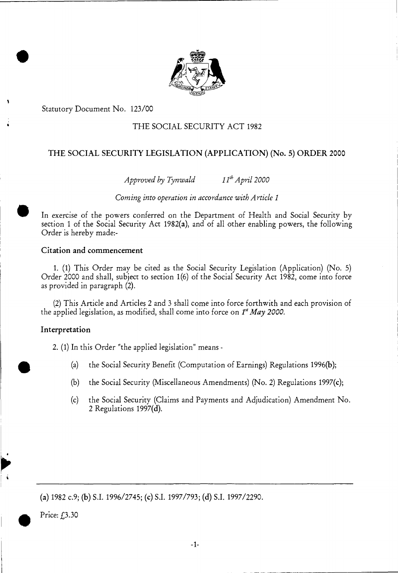

Statutory Document No. 123/00

•

### THE SOCIAL SECURITY ACT 1982

## THE SOCIAL SECURITY LEGISLATION (APPLICATION) (No. 5) ORDER 2000

## *Approved by Tynwald 11thApril 2000*

*Coming into operation in accordance with Article 1* 

 $\bullet$ In exercise of the powers conferred on the Department of Health and Social Security by section 1 of the Social Security Act 1982(a), and of all other enabling powers, the following Order is hereby made:-

#### Citation and commencement

1. (1) This Order may be cited as the Social Security Legislation (Application) (No. 5) Order 2000 and shall, subject to section 1(6) of the Social Security Act 1982, come into force as provided in paragraph (2).

(2) This Article and Articles 2 and 3 shall come into force forthwith and each provision of the applied legislation, as modified, shall come into force on *1" May 2000.* 

#### Interpretation

•

2. (1) In this Order "the applied legislation" means -

- (a) the Social Security Benefit (Computation of Earnings) Regulations 1996(b);
- (b) the Social Security (Miscellaneous Amendments) (No. 2) Regulations 1997(c);
- (c) the Social Security (Claims and Payments and Adjudication) Amendment No. 2 Regulations 1997(d).

(a) 1982 c.9; (b) S.I. 1996/2745; (c) S.I. 1997/793; (d) S.I. 1997/2290.

Price: f.3.30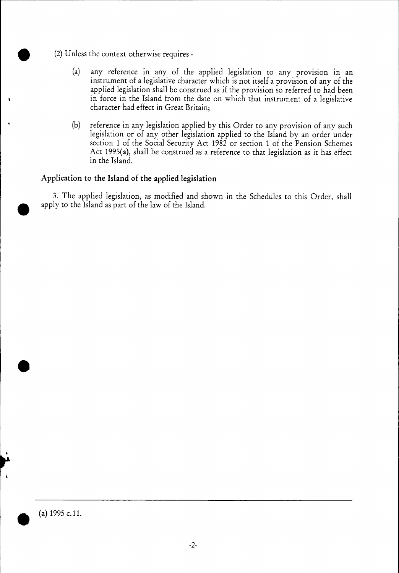- (2) Unless the context otherwise requires  $\begin{pmatrix} a \end{pmatrix}$  any reference in any of the
	- any reference in any of the applied legislation to any provision in an instrument of a legislative character which is not itself a provision of any of the applied legislation shall be construed as if the provision so referred to had been in force in the Island from the date on which that instrument of a legislative character had effect in Great Britain;
	- (b) reference in any legislation applied by this Order to any provision of any such legislation or of any other legislation applied to the Island by an order under section 1 of the Social Security Act 1982 or section 1 of the Pension Schemes Act 1995(a), shall be construed as a reference to that legislation as it has effect in the Island.

### **Application to the Island of the applied legislation**

3. The applied legislation, as modified and shown in the Schedules to this Order, shall apply to the Island as part of the law of the Island.



•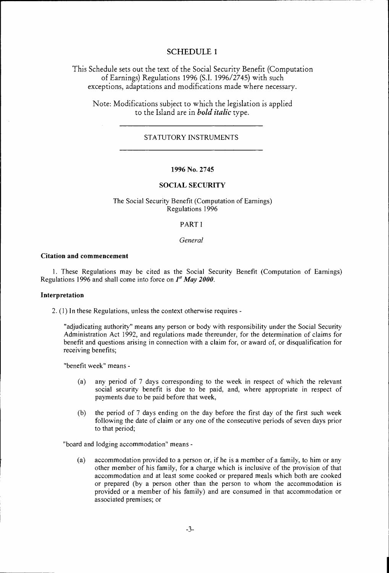#### SCHEDULE 1

#### This Schedule sets out the text of the Social Security Benefit (Computation of Earnings) Regulations 1996 (S.I. 1996/2745) with such exceptions, adaptations and modifications made where necessary.

Note: Modifications subject to which the legislation is applied to the Island are in *bold italic* type.

#### STATUTORY INSTRUMENTS

#### 1996 No. 2745

#### SOCIAL SECURITY

The Social Security Benefit (Computation of Earnings) Regulations 1996

#### PART *<sup>1</sup>*

#### *General*

#### Citation and commencement

1. These Regulations may be cited as the Social Security Benefit (Computation of Earnings) Regulations 1996 and shall come into force on  $I<sup>st</sup>$  May 2000.

#### Interpretation

2. (1) In these Regulations, unless the context otherwise requires -

"adjudicating authority" means any person or body with responsibility under the Social Security Administration Act 1992, and regulations made thereunder, for the determination of claims for benefit and questions arising in connection with a claim for, or award of, or disqualification for receiving benefits;

"benefit week" means -

- (a) any period of 7 days corresponding to the week in respect of which the relevant social security benefit is due to be paid, and, where appropriate in respect of payments due to be paid before that week,
- (b) the period of *7* days ending on the day before the first day of the first such week following the date of claim or any one of the consecutive periods of seven days prior to that period;

"board and lodging accommodation" means -

(a) accommodation provided to a person or, if he is a member of a family, to him or any other member of his family, for a charge which is inclusive of the provision of that accommodation and at least some cooked or prepared meals which both are cooked or prepared (by a person other than the person to whom the accommodation is provided or a member of his family) and are consumed in that accommodation or associated premises; or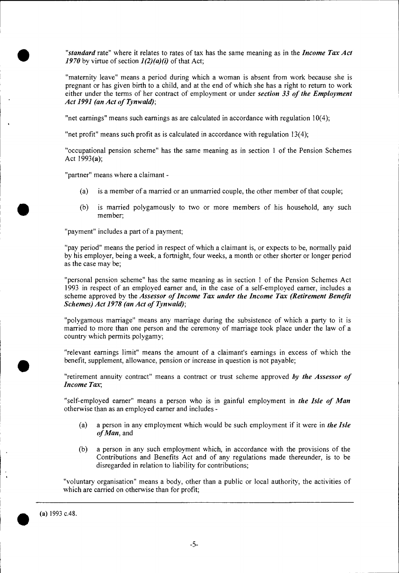*"standard* rate" where it relates to rates of tax has the same meaning as in the *Income Tax Act 1970* by virtue of section *1(2)(a)(i)* of that Act;

"maternity leave" means a period during which a woman is absent from work because she is pregnant or has given birth to a child, and at the end of which she has a right to return to work either under the terms of her contract of employment or under *section 33 of the Employment Act 1991 (an Act of Tynwald);* 

"net earnings" means such earnings as are calculated in accordance with regulation 10(4);

"net profit" means such profit as is calculated in accordance with regulation 13(4);

"occupational pension scheme" has the same meaning as in section 1 of the Pension Schemes Act 1993(a);

"partner" means where a claimant -

- (a) is a member of a married or an unmarried couple, the other member of that couple;
- (b) is married polygamously to two or more members of his household, any such member;

"payment" includes a part of a payment;

"pay period" means the period in respect of which a claimant is, or expects to be, normally paid by his employer, being a week, a fortnight, four weeks, a month or other shorter or longer period as the case may be;

"personal pension scheme" has the same meaning as in section 1 of the Pension Schemes Act 1993 in respect of an employed earner and, in the case of a self-employed earner, includes a scheme approved by the *Assessor of Income Tax under the Income Tax (Retirement Benefit Schemes) Act 1978 (an Act of Tynwald);* 

"polygamous marriage" means any marriage during the subsistence of which a party to it is married to more than one person and the ceremony of marriage took place under the law of a country which permits polygamy;

"relevant earnings limit" means the amount of a claimant's earnings in excess of which the benefit, supplement, allowance, pension or increase in question is not payable;

"retirement annuity contract" means a contract or trust scheme approved *by the Assessor of Income Tax;* 

"self-employed earner" means a person who is in gainful employment in *the Isle of Man*  otherwise than as an employed earner and includes -

- (a) a person in any employment which would be such employment if it were in *the Isle of Man,* and
- (b) a person in any such employment which, in accordance with the provisions of the Contributions and Benefits Act and of any regulations made thereunder, is to be disregarded in relation to liability for contributions;

"voluntary organisation" means a body, other than a public or local authority, the activities of which are carried on otherwise than for profit;

*• (a)* 1993 c.48.

•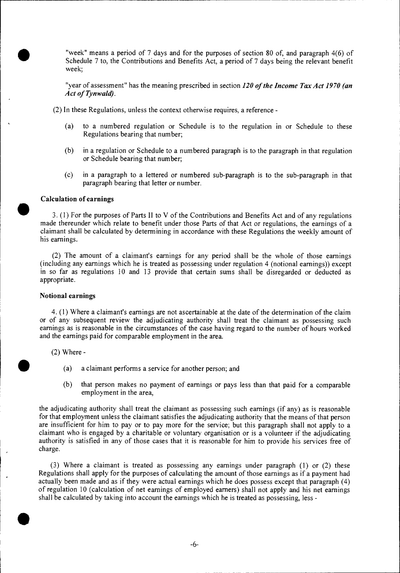"week" means a period of 7 days and for the purposes of section 80 of, and paragraph 4(6) of Schedule 7 to, the Contributions and Benefits Act, a period of 7 days being the relevant benefit week;

"year of assessment" has the meaning prescribed in section *120 of the Income Tax Act 1970 (an Act of Tynwald).* 

(2) In these Regulations, unless the context otherwise requires, a reference -

- (a) to a numbered regulation or Schedule is to the regulation in or Schedule to these Regulations bearing that number;
- (b) in a regulation or Schedule to a numbered paragraph is to the paragraph in that regulation or Schedule bearing that number;
- (c) in a paragraph to a lettered or numbered sub-paragraph is to the sub-paragraph in that paragraph bearing that letter or number.

#### **Calculation of earnings**

S 3. (1) For the purposes of Parts **II** to V of the Contributions and Benefits Act and of any regulations made thereunder which relate to benefit under those Parts of that Act or regulations, the earnings of a claimant shall be calculated by determining in accordance with these Regulations the weekly amount of his earnings.

(2) The amount of a claimant's earnings for any period shall be the whole of those earnings (including any earnings which he is treated as possessing under regulation 4 (notional earnings)) except in so far as regulations 10 and 13 provide that certain sums shall be disregarded or deducted as appropriate.

#### **Notional earnings**

4. (1) Where a claimant's earnings are not ascertainable at the date of the determination of the claim or of any subsequent review the adjudicating authority shall treat the claimant as possessing such earnings as is reasonable in the circumstances of the case having regard to the number of hours worked and the earnings paid for comparable employment in the area.

(2) Where -

- (a) a claimant performs a service for another person; and
- (b) that person makes no payment of earnings or pays less than that paid for a comparable employment in the area,

the adjudicating authority shall treat the claimant as possessing such earnings (if any) as is reasonable for that employment unless the claimant satisfies the adjudicating authority that the means of that person are insufficient for him to pay or to pay more for the service; but this paragraph shall not apply to a claimant who is engaged by a charitable or voluntary organisation or is a volunteer if the adjudicating authority is satisfied in any of those cases that it is reasonable for him to provide his services free of charge.

(3) Where a claimant is treated as possessing any earnings under paragraph (1) or (2) these Regulations shall apply for the purposes of calculating the amount of those earnings as if a payment had actually been made and as if they were actual earnings which he does possess except that paragraph (4) of regulation 10 (calculation of net earnings of employed earners) shall not apply and his net earnings shall be calculated by taking into account the earnings which he is treated as possessing, less - •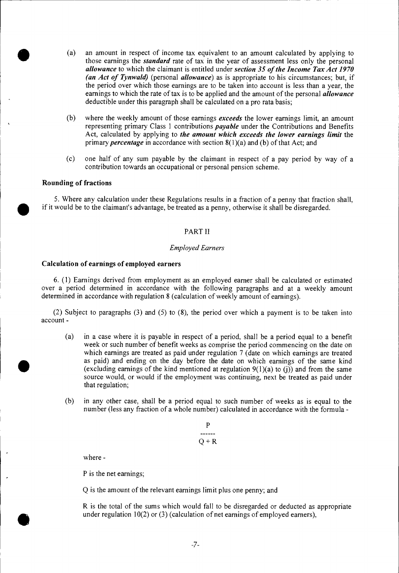- (a) an amount in respect of income tax equivalent to an amount calculated by applying to those earnings the *standard* rate of tax in the year of assessment less only the personal *allowance* to which the claimant is entitled under *section 35 of the Income Tax Act 1970 (an Act of Tynwald)* (personal *allowance)* as is appropriate to his circumstances; but, if the period over which those earnings are to be taken into account is less than a year, the earnings to which the rate of tax is to be applied and the amount of the personal *allowance*  deductible under this paragraph shall be calculated on a pro rata basis;
- (b) where the weekly amount of those earnings *exceeds* the lower earnings limit, an amount representing primary Class 1 contributions *payable* under the Contributions and Benefits Act, calculated by applying to *the amount which exceeds the lower earnings limit* the primary *percentage* in accordance with section 8(1)(a) and (b) of that Act; and
- (c) one half of any sum payable by the claimant in respect of a pay period by way of a contribution towards an occupational or personal pension scheme.

#### **Rounding of fractions**

5. Where any calculation under these Regulations results in a fraction of a penny that fraction shall, *if* it would be to the claimant's advantage, be treated as a penny, otherwise it shall be disregarded.

#### PART II

#### *Employed Earners*

#### **Calculation of earnings of employed earners**

6. (1) Earnings derived from employment as an employed earner shall be calculated or estimated over a period determined in accordance with the following paragraphs and at a weekly amount determined in accordance with regulation 8 (calculation of weekly amount of earnings).

(2) Subject to paragraphs (3) and (5) to (8), the period over which a payment is to be taken into account -

- (a) in a case where it is payable in respect of a period, shall be a period equal to a benefit week or such number of benefit weeks as comprise the period commencing on the date on which earnings are treated as paid under regulation 7 (date on which earnings are treated as paid) and ending on the day before the date on which earnings of the same kind (excluding earnings of the kind mentioned at regulation  $9(1)(a)$  to (j)) and from the same source would, or would if the employment was continuing, next be treated as paid under that regulation;
- (b) in any other case, shall be a period equal to such number of weeks as is equal to the number (less any fraction of a whole number) calculated in accordance with the formula -

$$
\begin{array}{c}\n P \\
 \overline{Q+R}\n \end{array}
$$

where -

P is the net earnings;

Q is the amount of the relevant earnings limit plus one penny; and

R is the total of the sums which would fall to be disregarded or deducted as appropriate under regulation  $10(2)$  or (3) (calculation of net earnings of employed earners),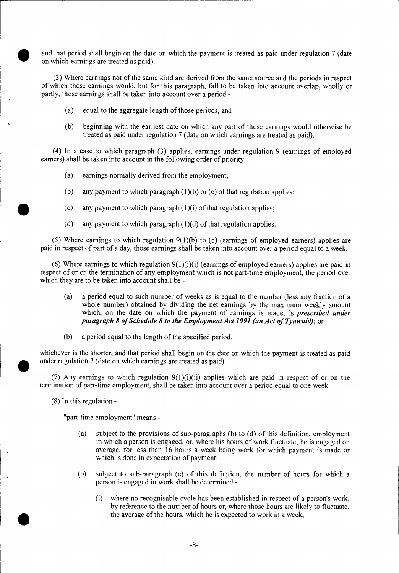• and that period shall begin on the date on which the payment is treated as paid under regulation 7 (date on which earnings are treated as paid).

(3) Where earnings not of the same kind are derived from the same source and the periods in respect of which those earnings would, but for this paragraph, fall to be taken into account overlap, wholly or partly, those earnings shall be taken into account over a period -

- (a) equal to the aggregate length of those periods, and
- (b) beginning with the earliest date on which any part of those earnings would otherwise be treated as paid under regulation 7 (date on which earnings are treated as paid).

(4) In a case to which paragraph (3) applies, earnings under regulation 9 (earnings of employed earners) shall be taken into account in the following order of priority -

- (a) earnings normally derived from the employment;
- (b) any payment to which paragraph  $(1)(b)$  or  $(c)$  of that regulation applies;
- (c) any payment to which paragraph  $(1)(i)$  of that regulation applies;
- (d) any payment to which paragraph  $(1)(d)$  of that regulation applies.

(5) Where earnings to which regulation 9(1)(b) to (d) (earnings of employed earners) applies are paid in respect of part of a day, those earnings shall be taken into account over a period equal to a week.

(6) Where earnings to which regulation  $9(1)(i)(i)$  (earnings of employed earners) applies are paid in respect of or on the termination of any employment which is not part-time employment, the period over which they are to be taken into account shall be -

- (a) a period equal to such number of weeks as is equal to the number (less any fraction of a whole number) obtained by dividing the net earnings by the maximum weekly amount which, on the date on which the payment of earnings is made, is *prescribed under paragraph 8 of Schedule 8 to the Employment Act 1991 (an Act of Tynwald);* or
- (b) a period equal to the length of the specified period,

whichever is the shorter, and that period shall begin on the date on which the payment is treated as paid under regulation 7 (date on which earnings are treated as paid).

(7) Any earnings to which regulation  $9(1)(i)(ii)$  applies which are paid in respect of or on the termination of part-time employment, shall be taken into account over a period equal to one week.

(8) In this regulation -

"part-time employment" means -

- (a) subject to the provisions of sub-paragraphs (b) to (d) of this definition, employment in which a person is engaged, or, where his hours of work fluctuate, he is engaged on average, for less than 16 hours a week being work for which payment is made or which is done in expectation of payment;
- (b) subject to sub-paragraph (c) of this definition, the number of hours for which a person is engaged in work shall be determined -
	- (i) where no recognisable cycle has been established in respect of a person's work, by reference to the number of hours or, where those hours are likely to fluctuate, the average of the hours, which he is expected to work in a week;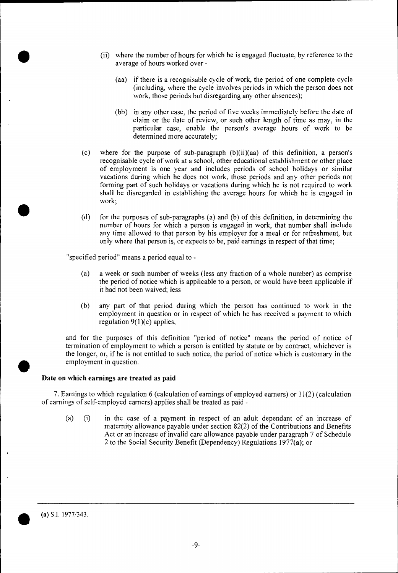- (ii) where the number of hours for which he is engaged fluctuate, by reference to the average of hours worked over -
	- (aa) if there is a recognisable cycle of work, the period of one complete cycle (including, where the cycle involves periods in which the person does not work, those periods but disregarding any other absences);
	- (bb) in any other case, the period of five weeks immediately before the date of claim or the date of review, or such other length of time as may, in the particular case, enable the person's average hours of work to be determined more accurately;
- (c) where for the purpose of sub-paragraph  $(b)(ii)(aa)$  of this definition, a person's recognisable cycle of work at a school, other educational establishment or other place of employment is one year and includes periods of school holidays or similar vacations during which he does not work, those periods and any other periods not forming part of such holidays or vacations during which he is not required to work shall be disregarded in establishing the average hours for which he is engaged in work;
- (d) for the purposes of sub-paragraphs (a) and (b) of this definition, in determining the number of hours for which a person is engaged in work, that number shall include any time allowed to that person by his employer for a meal or for refreshment, but only where that person is, or expects to be, paid earnings in respect of that time;

"specified period" means a period equal to -

- (a) a week or such number of weeks (less any fraction of a whole number) as comprise the period of notice which is applicable to a person, or would have been applicable if it had not been waived; less
- (b) any part of that period during which the person has continued to work in the employment in question or in respect of which he has received a payment to which regulation 9(1)(c) applies,

and for the purposes of this definition "period of notice" means the period of notice of termination of employment to which a person is entitled by statute or by contract, whichever is the longer, or, if he is not entitled to such notice, the period of notice which is customary in the employment in question.

#### **Date on which earnings are treated as paid**

7. Earnings to which regulation 6 (calculation of earnings of employed earners) or 11(2) (calculation of earnings of self-employed earners) applies shall be treated as paid -

(a) (i) in the case of a payment in respect of an adult dependant of an increase of maternity allowance payable under section 82(2) of the Contributions and Benefits Act or an increase of invalid care allowance payable under paragraph 7 of Schedule 2 to the Social Security Benefit (Dependency) Regulations 1977(a); or

(a) S.I. 1977/343.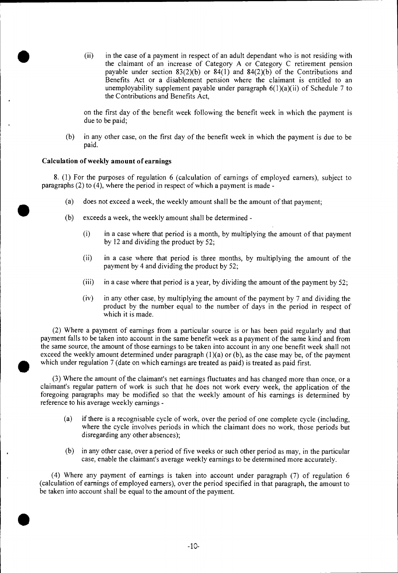(ii) in the case of a payment in respect of an adult dependant who is not residing with the claimant of an increase of Category A or Category C retirement pension payable under section  $83(2)(b)$  or  $84(1)$  and  $84(2)(b)$  of the Contributions and Benefits Act or a disablement pension where the claimant is entitled to an unemployability supplement payable under paragraph  $6(1)(a)(ii)$  of Schedule 7 to the Contributions and Benefits Act,

on the first day of the benefit week following the benefit week in which the payment is due to be paid;

(b) in any other case, on the first day of the benefit week in which the payment is due to be paid.

#### **Calculation of weekly amount of earnings**

•

•

8. (1) For the purposes of regulation 6 (calculation of earnings of employed earners), subject to paragraphs (2) to (4), where the period in respect of which a payment is made -

- (a) does not exceed a week, the weekly amount shall be the amount of that payment;
- (b) exceeds a week, the weekly amount shall be determined
	- (i) in a case where that period is a month, by multiplying the amount of that payment by 12 and dividing the product by 52;
	- (ii) in a case where that period is three months, by multiplying the amount of the payment by 4 and dividing the product by 52;
	- (iii) in a case where that period is a year, by dividing the amount of the payment by  $52$ ;
	- (iv) in any other case, by multiplying the amount of the payment by 7 and dividing the product by the number equal to the number of days in the period in respect of which it is made.

• (2) Where a payment of earnings from a particular source is or has been paid regularly and that payment falls to be taken into account in the same benefit week as a payment of the same kind and from the same source, the amount of those earnings to be taken into account in any one benefit week shall not exceed the weekly amount determined under paragraph (1)(a) or (b), as the case may be, of the payment which under regulation 7 (date on which earnings are treated as paid) is treated as paid first.

(3) Where the amount of the claimant's net earnings fluctuates and has changed more than once, or a claimant's regular pattern of work is such that he does not work every week, the application of the foregoing paragraphs may be modified so that the weekly amount of his earnings is determined by reference to his average weekly earnings -

- (a) if there is a recognisable cycle of work, over the period of one complete cycle (including, where the cycle involves periods in which the claimant does no work, those periods but disregarding any other absences);
- (b) in any other case, over a period of five weeks or such other period as may, in the particular case, enable the claimant's average weekly earnings to be determined more accurately.

(4) Where any payment of earnings is taken into account under paragraph (7) of regulation 6 (calculation of earnings of employed earners), over the period specified in that paragraph, the amount to be taken into account shall be equal to the amount of the payment.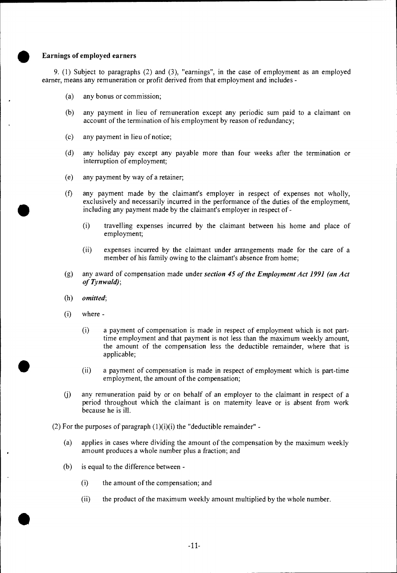#### **0 Earnings of employed earners**

9. (1) Subject to paragraphs (2) and (3), "earnings", in the case of employment as an employed earner, means any remuneration or profit derived from that employment and includes -

- (a) any bonus or commission;
- (b) any payment in lieu of remuneration except any periodic sum paid to a claimant on account of the termination of his employment by reason of redundancy;
- (c) any payment in lieu of notice;
- (d) any holiday pay except any payable more than four weeks after the termination or interruption of employment;
- (e) any payment by way of a retainer;
- (f) any payment made by the claimant's employer in respect of expenses not wholly, exclusively and necessarily incurred in the performance of the duties of the employment, including any payment made by the claimant's employer in respect of -
	- (i) travelling expenses incurred by the claimant between his home and place of employment;
	- (ii) expenses incurred by the claimant under arrangements made for the care of a member of his family owing to the claimant's absence from home;
- (g) any award of compensation made under *section 45 of the Employment Act 1991 (an Act of Tynwald);*
- (h) *omitted;*

•

•

- (i) where
	- (i) a payment of compensation is made in respect of employment which is not parttime employment and that payment is not less than the maximum weekly amount, the amount of the compensation less the deductible remainder, where that is applicable;
	- (ii) a payment of compensation is made in respect of employment which is part-time employment, the amount of the compensation;
- (j) any remuneration paid by or on behalf of an employer to the claimant in respect of a period throughout which the claimant is on maternity leave or is absent from work because he is ill.
- (2) For the purposes of paragraph  $(1)(i)(i)$  the "deductible remainder" -
	- (a) applies in cases where dividing the amount of the compensation by the maximum weekly amount produces a whole number plus a fraction; and
	- (b) is equal to the difference between
		- (i) the amount of the compensation; and
		- (ii) the product of the maximum weekly amount multiplied by the whole number.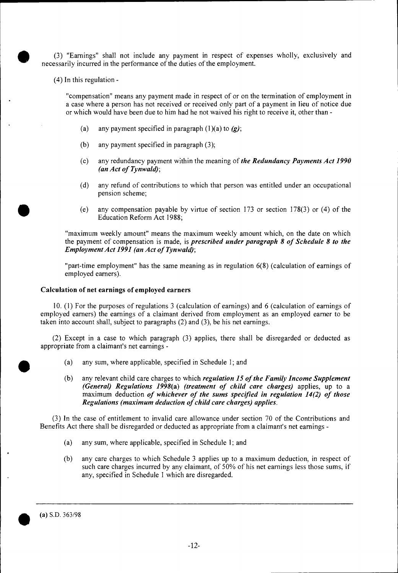(3) "Earnings" shall not include any payment in respect of expenses wholly, exclusively and necessarily incurred in the performance of the duties of the employment.

(4) In this regulation -

•

"compensation" means any payment made in respect of or on the termination of employment in a case where a person has not received or received only part of a payment in lieu of notice due or which would have been due to him had he not waived his right to receive it, other than -

- (a) any payment specified in paragraph (1)(a) to *(g);*
- (b) any payment specified in paragraph (3);
- (c) any redundancy payment within the meaning of *the Redundancy Payments Act 1990 (an Act of Tynwald);*
- (d) any refund of contributions to which that person was entitled under an occupational pension scheme;
- (e) any compensation payable by virtue of section 173 or section 178(3) or (4) of the Education Reform Act 1988;

"maximum weekly amount" means the maximum weekly amount which, on the date on which the payment of compensation is made, is *prescribed under paragraph 8 of Schedule 8 to the Employment Act 1991 (an Act of Tynwald);* 

"part-time employment" has the same meaning as in regulation 6(8) (calculation of earnings of employed earners).

#### **Calculation of net earnings of employed earners**

10. (1) For the purposes of regulations 3 (calculation of earnings) and 6 (calculation of earnings of employed earners) the earnings of a claimant derived from employment as an employed earner to be taken into account shall, subject to paragraphs (2) and (3), be his net earnings.

(2) Except in a case to which paragraph (3) applies, there shall be disregarded or deducted as appropriate from a claimant's net earnings -

- (a) any sum, where applicable, specified in Schedule 1; and
- (b) any relevant child care charges to which *regulation 15 of the Family Income Supplement (General) Regulations 1998(a) (treatment of child care charges)* applies, up to a maximum deduction *of whichever of the sums specified in regulation 14(2) of those Regulations (maximum deduction of child care charges) applies.*

(3) In the case of entitlement to invalid care allowance under section 70 of the Contributions and Benefits Act there shall be disregarded or deducted as appropriate from a claimant's net earnings -

- (a) any sum, where applicable, specified in Schedule 1; and
- (b) any care charges to which Schedule 3 applies up to a maximum deduction, in respect of such care charges incurred by any claimant, of 50% of his net earnings less those sums, if any, specified in Schedule 1 which are disregarded.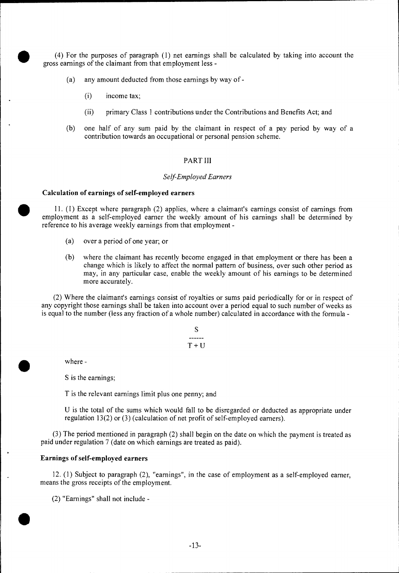0 (4) For the purposes of paragraph (1) net earnings shall be calculated by taking into account the gross earnings of the claimant from that employment less -

- (a) any amount deducted from those earnings by way of
	- (i) income tax;
	- (ii) primary Class 1 contributions under the Contributions and Benefits Act; and
- (b) one half of any sum paid by the claimant in respect of a pay period by way of a contribution towards an occupational or personal pension scheme.

#### PART III

#### *Self-Employed Earners*

Calculation of earnings of self-employed earners<br>
11. (1) Except where paragraph (2) applies, where a claimant's earnings consist of earnings from<br>
employment as a self-employed earner the weekly amount of his earnings sha reference to his average weekly earnings from that employment -

- (a) over a period of one year; or
- (b) where the claimant has recently become engaged in that employment or there has been a change which is likely to affect the normal pattern of business, over such other period as may, in any particular case, enable the weekly amount of his earnings to be determined more accurately.

(2) Where the claimant's earnings consist of royalties or sums paid periodically for or in respect of any copyright those earnings shall be taken into account over a period equal to such number of weeks as is equal to the number (less any fraction of a whole number) calculated in accordance with the formula -

$$
\frac{S}{T+U}
$$

where -

S is the earnings;

T is the relevant earnings limit plus one penny; and

U is the total of the sums which would fall to be disregarded or deducted as appropriate under regulation 13(2) or (3) (calculation of net profit of self-employed earners).

(3) The period mentioned in paragraph (2) shall begin on the date on which the payment is treated as paid under regulation 7 (date on which earnings are treated as paid).

#### **Earnings of self-employed earners**

12. (1) Subject to paragraph (2), "earnings", in the case of employment as a self-employed earner, means the gross receipts of the employment.

(2) "Earnings" shall not include -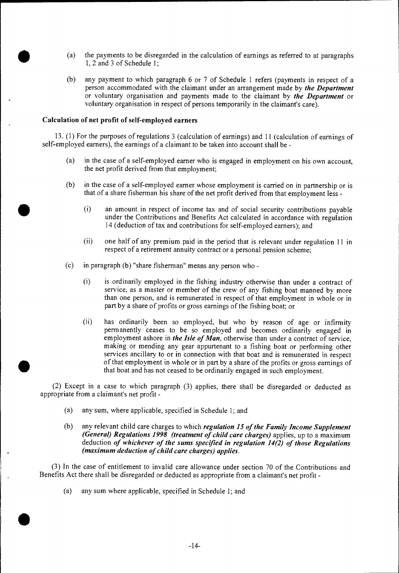- (a) the payments to be disregarded in the calculation of earnings as referred to at paragraphs 1, 2 and 3 of Schedule 1;
- (b) any payment to which paragraph 6 or 7 of Schedule I refers (payments in respect of a person accommodated with the claimant under an arrangement made by *the Department*  or voluntary organisation and payments made to the claimant by *the Department* or voluntary organisation in respect of persons temporarily in the claimant's care).

#### **Calculation of net profit of self-employed earners**

13. (I) For the purposes of regulations 3 (calculation of earnings) and 11 (calculation of earnings of self-employed earners), the earnings of a claimant to be taken into account shall be -

- (a) in the case of a self-employed earner who is engaged in employment on his own account, the net profit derived from that employment;
- (b) in the case of a self-employed earner whose employment is carried on in partnership or is that of a share fisherman his share of the net profit derived from that employment less -
	- (i) an amount in respect of income tax and of social security contributions payable under the Contributions and Benefits Act calculated in accordance with regulation 14 (deduction of tax and contributions for self-employed earners); and
	- (ii) one half of any premium paid in the period that is relevant under regulation 11 in respect of a retirement annuity contract or a personal pension scheme;
- (c) in paragraph (b) "share fisherman" means any person who
	- (i) is ordinarily employed in the fishing industry otherwise than under a contract of service, as a master or member of the crew of any fishing boat manned by more than one person, and is remunerated in respect of that employment in whole or in part by a share of profits or gross earnings of the fishing boat; or
	- (ii) has ordinarily been so employed, but who by reason of age or infirmity permanently ceases to be so employed and becomes ordinarily engaged in employment ashore in *the Isle of Man,* otherwise than under a contract of service, making or mending any gear appurtenant to a fishing boat or performing other services ancillary to or in connection with that boat and is remunerated in respect of that employment in whole or in part by a share of the profits or gross earnings of that boat and has not ceased to be ordinarily engaged in such employment.

(2) Except in a case to which paragraph (3) applies, there shall be disregarded or deducted as appropriate from a claimant's net profit -

- (a) any sum, where applicable, specified in Schedule 1; and
- (b) any relevant child care charges to which *regulation 15 of the Family Income Supplement (General) Regulations 1998 (treatment of child care charges)* applies, up to a maximum deduction *of whichever of the sums specified in regulation 14(2) of those Regulations (maximum deduction of child care charges) applies.*

(3) In the case of entitlement to invalid care allowance under section 70 of the Contributions and Benefits Act there shall be disregarded or deducted as appropriate from a claimant's net profit -

(a) any sum where applicable, specified in Schedule 1; and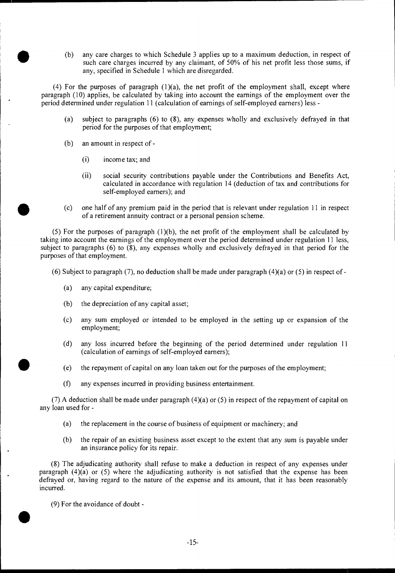(b) any care charges to which Schedule 3 applies up to a maximum deduction, in respect of such care charges incurred by any claimant, of 50% of his net profit less those sums, if any, specified in Schedule 1 which are disregarded.

(4) For the purposes of paragraph (1)(a), the net profit of the employment shall, except where paragraph (10) applies, be calculated by taking into account the earnings of the employment over the period determined under regulation 11 (calculation of earnings of self-employed earners) less -

- (a) subject to paragraphs (6) to (8), any expenses wholly and exclusively defrayed in that period for the purposes of that employment;
- (b) an amount in respect of
	- (i) income tax; and
	- (ii) social security contributions payable under the Contributions and Benefits Act, calculated in accordance with regulation 14 (deduction of tax and contributions for self-employed earners); and
- 5 (c) one half of any premium paid in the period that is relevant under regulation 11 in respect of a retirement annuity contract or a personal pension scheme.

(5) For the purposes of paragraph (1)(b), the net profit of the employment shall be calculated by taking into account the earnings of the employment over the period determined under regulation 11 less, subject to paragraphs (6) to (8), any expenses wholly and exclusively defrayed in that period for the purposes of that employment.

(6) Subject to paragraph (7), no deduction shall be made under paragraph (4)(a) or (5) in respect of -

(a) any capital expenditure;

 $\bullet$ 

 $\bullet$ 

- (b) the depreciation of any capital asset;
- (c) any sum employed or intended to be employed in the setting up or expansion of the employment;
- (d) any loss incurred before the beginning of the period determined under regulation 11 (calculation of earnings of self-employed earners);
- (e) the repayment of capital on any loan taken out for the purposes of the employment;
- (f) any expenses incurred in providing business entertainment.

(7) A deduction shall be made under paragraph (4)(a) or (5) in respect of the repayment of capital on any loan used for -

- (a) the replacement in the course of business of equipment or machinery; and
- (b) the repair of an existing business asset except to the extent that any sum is payable under an insurance policy for its repair.

(8) The adjudicating authority shall refuse to make a deduction in respect of any expenses under paragraph (4)(a) or (5) where the adjudicating authority is not satisfied that the expense has been defrayed or, having regard to the nature of the expense and its amount, that it has been reasonably incurred.

(9) For the avoidance of doubt -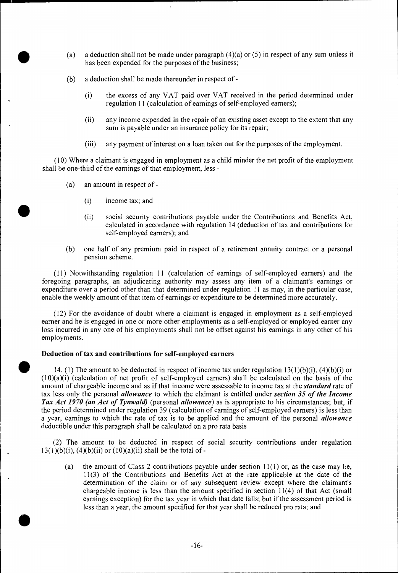- (a) a deduction shall not be made under paragraph  $(4)(a)$  or  $(5)$  in respect of any sum unless it has been expended for the purposes of the business;
- (b) a deduction shall be made thereunder in respect of
	- (i) the excess of any VAT paid over VAT received in the period determined under regulation 11 (calculation of earnings of self-employed earners);
	- (ii) any income expended in the repair of an existing asset except to the extent that any sum is payable under an insurance policy for its repair;
	- (iii) any payment of interest on a loan taken out for the purposes of the employment.

(10) Where a claimant is engaged in employment as a child minder the net profit of the employment shall be one-third of the earnings of that employment, less -

- (a) an amount in respect of
	- (i) income tax; and
	- (ii) social security contributions payable under the Contributions and Benefits Act, calculated in accordance with regulation 14 (deduction of tax and contributions for self-employed earners); and
- (b) one half of any premium paid in respect of a retirement annuity contract or a personal pension scheme.

(11) Notwithstanding regulation 11 (calculation of earnings of self-employed earners) and the foregoing paragraphs, an adjudicating authority may assess any item of a claimant's earnings or expenditure over a period other than that determined under regulation 11 as may, in the particular case, enable the weekly amount of that item of earnings or expenditure to be determined more accurately.

(12) For the avoidance of doubt where a claimant is engaged in employment as a self-employed earner and he is engaged in one or more other employments as a self-employed or employed earner any loss incurred in any one of his employments shall not be offset against his earnings in any other of his employments.

#### **Deduction of tax and contributions for self-employed earners**

14. (1) The amount to be deducted in respect of income tax under regulation  $13(1)(b)(i)$ ,  $(4)(b)(i)$  or (10)(a)(i) (calculation of net profit of self-employed earners) shall be calculated on the basis of the amount of chargeable income and as if that income were assessable to income tax at the *standard* rate of tax less only the personal *allowance* to which the claimant is entitled under *section 35 of the Income Tax Act 1970 (an Act of Tynwald)* (personal *allowance)* as is appropriate to his circumstances; but, if the period determined under regulation 39 (calculation of earnings of self-employed earners) is less than a year, earnings to which the rate of tax is to be applied and the amount of the personal *allowance*  deductible under this paragraph shall be calculated on a pro rata basis

(2) The amount to be deducted in respect of social security contributions under regulation  $13(1)(b)(i)$ ,  $(4)(b)(ii)$  or  $(10)(a)(ii)$  shall be the total of -

(a) the amount of Class 2 contributions payable under section 11(1) or, as the case may be, 11(3) of the Contributions and Benefits Act at the rate applicable at the date of the determination of the claim or of any subsequent review except where the claimant's chargeable income is less than the amount specified in section 11(4) of that Act (small earnings exception) for the tax year in which that date falls; but if the assessment period is less than a year, the amount specified for that year shall be reduced pro rata; and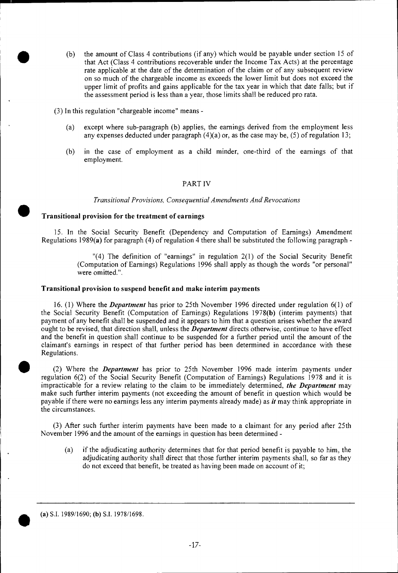(b) the amount of Class 4 contributions (if any) which would be payable under section 15 of that Act (Class 4 contributions recoverable under the Income Tax Acts) at the percentage rate applicable at the date of the determination of the claim or of any subsequent review on so much of the chargeable income as exceeds the lower limit but does not exceed the upper limit of profits and gains applicable for the tax year in which that date falls; but if the assessment period is less than a year, those limits shall be reduced pro rata.

(3) In this regulation "chargeable income" means -

- (a) except where sub-paragraph (b) applies, the earnings derived from the employment less any expenses deducted under paragraph  $(4)(a)$  or, as the case may be, (5) of regulation 13;
- (b) in the case of employment as a child minder, one-third of the earnings of that employment.

#### PART IV

#### *Transitional Provisions, Consequential Amendments And Revocations*

#### **Transitional provision for the treatment of earnings**

15. In the Social Security Benefit (Dependency and Computation of Earnings) Amendment Regulations 1989(a) for paragraph (4) of regulation 4 there shall be substituted the following paragraph -

> "(4) The definition of "earnings" in regulation 2(1) of the Social Security Benefit (Computation of Earnings) Regulations 1996 shall apply as though the words "or personal" were omitted.".

#### **Transitional provision to suspend benefit and make interim payments**

16. (1) Where the *Department* has prior to 25th November 1996 directed under regulation 6(1) of the Social Security Benefit (Computation of Earnings) Regulations 1978(b) (interim payments) that payment of any benefit shall be suspended and it appears to him that a question arises whether the award ought to be revised, that direction shall, unless the *Department* directs otherwise, continue to have effect and the benefit in question shall continue to be suspended for a further period until the amount of the claimant's earnings in respect of that further period has been determined in accordance with these Regulations.

(2) Where the *Department* has prior to 25th November 1996 made interim payments under regulation 6(2) of the Social Security Benefit (Computation of Earnings) Regulations 1978 and it is impracticable for a review relating to the claim to be immediately determined, *the Department* may make such further interim payments (not exceeding the amount of benefit in question which would be payable if there were no earnings less any interim payments already made) as *it* may think appropriate in the circumstances.

(3) After such further interim payments have been made to a claimant for any period after 25th November 1996 and the amount of the earnings in question has been determined -

(a) if the adjudicating authority determines that for that period benefit is payable to him, the adjudicating authority shall direct that those further interim payments shall, so far as they do not exceed that benefit, be treated as having been made on account of it;

•

*<sup>(</sup>a)* S.I. 1989/1690; **(b)** S.I. 1978/1698.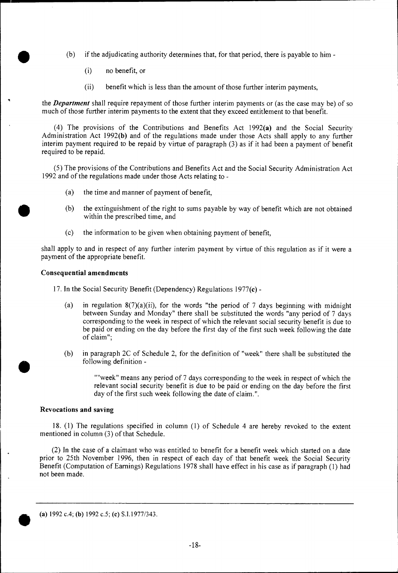- (b) if the adjudicating authority determines that, for that period, there is payable to him
	- (i) no benefit, or
	- (ii) benefit which is less than the amount of those further interim payments,

the *Department* shall require repayment of those further interim payments or (as the case may be) of so much of those further interim payments to the extent that they exceed entitlement to that benefit.

(4) The provisions of the Contributions and Benefits Act 1992(a) and the Social Security Administration Act 1992(b) and of the regulations made under those Acts shall apply to any further interim payment required to be repaid by virtue of paragraph (3) as if it had been a payment of benefit required to be repaid.

(5) The provisions of the Contributions and Benefits Act and the Social Security Administration Act 1992 and of the regulations made under those Acts relating to -

- (a) the time and manner of payment of benefit,
- (b) the extinguishment of the right to sums payable by way of benefit which are not obtained within the prescribed time, and
- (c) the information to be given when obtaining payment of benefit,

shall apply to and in respect of any further interim payment by virtue of this regulation as if it were a payment of the appropriate benefit.

#### **Consequential amendments**

17. In the Social Security Benefit (Dependency) Regulations 1977(c) -

- (a) in regulation  $8(7)(a)(ii)$ , for the words "the period of 7 days beginning with midnight between Sunday and Monday" there shall be substituted the words "any period of 7 days corresponding to the week in respect of which the relevant social security benefit is due to be paid or ending on the day before the first day of the first such week following the date of claim";
- (b) in paragraph 2C of Schedule 2, for the definition of "week" there shall be substituted the following definition -

"week" means any period of 7 days corresponding to the week in respect of which the relevant social security benefit is due to be paid or ending on the day before the first day of the first such week following the date of claim.".

#### **Revocations and saving**

18. (1) The regulations specified in column (1) of Schedule 4 are hereby revoked to the extent mentioned in column (3) of that Schedule.

(2) In the case of a claimant who was entitled to benefit for a benefit week which started on a date prior to 25th November 1996, then in respect of each day of that benefit week the Social Security Benefit (Computation of Earnings) Regulations 1978 shall have effect in his case as if paragraph (1) had not been made.

**<sup>(</sup>a)** 1992 c.4; (b) 1992 c.5; (c) S.I.1977/343.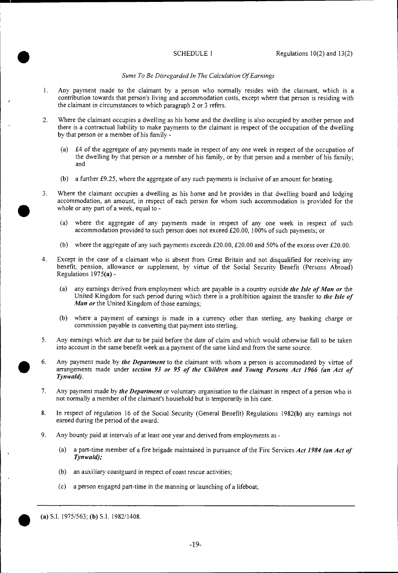#### *Sums To Be Disregarded In The Calculation Of Earnings*

- 1. Any payment made to the claimant by a person who normally resides with the claimant, which is a contribution towards that person's living and accommodation costs, except where that person is residing with the claimant in circumstances to which paragraph 2 or 3 refers.
- 2. Where the claimant occupies a dwelling as his home and the dwelling is also occupied by another person and there is a contractual liability to make payments to the claimant in respect of the occupation of the dwelling by that person or a member of his family -
	- $£4$  of the aggregate of any payments made in respect of any one week in respect of the occupation of the dwelling by that person or a member of his family, or by that person and a member of his family; and
	- (b) a further £9.25, where the aggregate of any such payments is inclusive of an amount for heating.
- 3. Where the claimant occupies a dwelling as his home and he provides in that dwelling board and lodging accommodation, an amount, in respect of each person for whom such accommodation is provided for the whole or any part of a week, equal to -
	- (a) where the aggregate of any payments made in respect of any one week in respect of such accommodation provided to such person does not exceed £20.00, 100% of such payments; or
	- (b) where the aggregate of any such payments exceeds £20.00, £20.00 and 50% of the excess over £20.00.
- 4. Except in the case of a claimant who is absent from Great Britain and not disqualified for receiving any benefit, pension, allowance or supplement, by virtue of the Social Security Benefit (Persons Abroad) Regulations 1975(a) -
	- (a) any earnings derived from employment which are payable in a country outside *the Isle of Man or* the United Kingdom for such period during which there is a prohibition against the transfer to *the Isle of Man or* the United Kingdom of those earnings;
	- (b) where a payment of earnings is made in a currency other than sterling, any banking charge or commission payable in converting that payment into sterling.
- 5. Any earnings which are due to be paid before the date of claim and which would otherwise fall to be taken into account in the same benefit week as a payment of the same kind and from the same source.
- 6. Any payment made by *the Department* to the claimant with whom a person is accommodated by virtue of arrangements made under *section 93 or 95 of the Children and Young Persons Act 1966 (an Act of Tynwald).*
- 7. Any payment made by *the Department* or voluntary organisation to the claimant in respect of a person who is not normally a member of the claimant's household but is temporarily in his care.
- 8. In respect of regulation 16 of the Social Security (General Benefit) Regulations 1982(b) any earnings not earned during the period of the award.
- 9. Any bounty paid at intervals of at least one year and derived from employments as
	- (a) a part-time member of a fire brigade maintained in pursuance of the Fire Services *Act 1984 (an Act of Tynwald);*
	- (b) an auxiliary coastguard in respect of coast rescue activities;
	- (c) a person engaged part-time in the manning or launching of a lifeboat;

(a) S.I. 1975/563; (b) S.I. 1982/1408.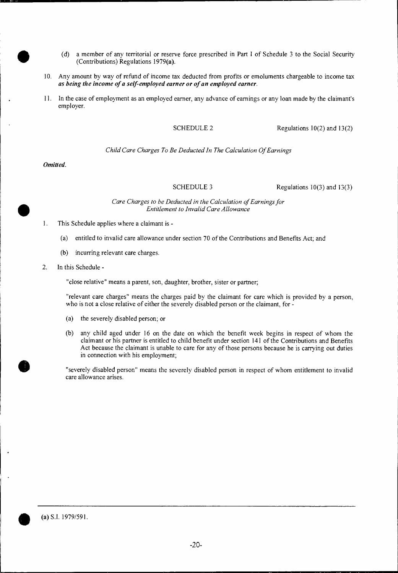- (d) a member of any territorial or reserve force prescribed in Part I of Schedule 3 to the Social Security (Contributions) Regulations 1979(a).
- 10. Any amount by way of refund of income tax deducted from profits or emoluments chargeable to income tax *as being the income of a self-employed earner or of an employed earner.*
- 11. In the case of employment as an employed earner, any advance of earnings or any loan made by the claimant's employer.

SCHEDULE 2 Regulations 10(2) and 13(2)

*Child Care Charges To Be Deducted In The Calculation Of Earnings* 

*Omitted.* 

SCHEDULE 3 Regulations 10(3) and 13(3)

*Care Charges to be Deducted in the Calculation of Earnings for Entitlement to Invalid Care Allowance* 

- *1.* This Schedule applies where a claimant is
	- (a) entitled to invalid care allowance under section 70 of the Contributions and Benefits Act; and
	- (b) incurring relevant care charges.
- 2. In this Schedule -

"close relative" means a parent, son, daughter, brother, sister or partner;

"relevant care charges" means the charges paid by the claimant for care which is provided by a person, who is not a close relative of either the severely disabled person or the claimant, for -

- (a) the severely disabled person; or
- (b) any child aged under 16 on the date on which the benefit week begins in respect of whom the claimant or his partner is entitled to child benefit under section 141 of the Contributions and Benefits Act because the claimant is unable to care for any of those persons because he is carrying out duties in connection with his employment;

"severely disabled person" means the severely disabled person in respect of whom entitlement to invalid care allowance arises.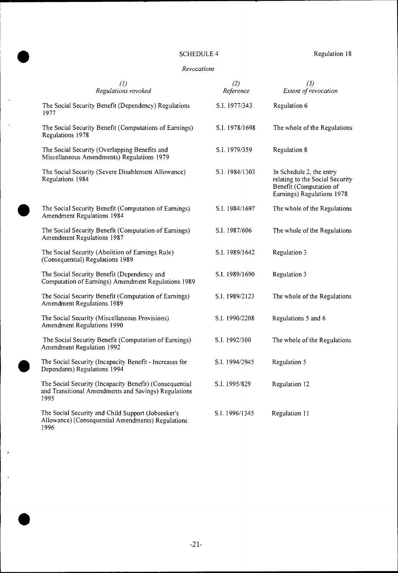# SCHEDULE 4<br>Regulation 18

#### *Revocations*

| $\left( l\right)$<br>Regulations revoked                                                                                | (2)<br>Reference | (3)<br>Extent of revocation                                                                                          |
|-------------------------------------------------------------------------------------------------------------------------|------------------|----------------------------------------------------------------------------------------------------------------------|
| The Social Security Benefit (Dependency) Regulations<br>1977                                                            | S.I. 1977/343    | Regulation 6                                                                                                         |
| The Social Security Benefit (Computations of Earnings)<br>Regulations 1978                                              | S.I. 1978/1698   | The whole of the Regulations                                                                                         |
| The Social Security (Overlapping Benefits and<br>Miscellaneous Amendments) Regulations 1979                             | S.I. 1979/359    | Regulation 8                                                                                                         |
| The Social Security (Severe Disablement Allowance)<br>Regulations 1984                                                  | S.I. 1984/1303   | In Schedule 2, the entry<br>relating to the Social Security<br>Benefit (Computation of<br>Earnings) Regulations 1978 |
| The Social Security Benefit (Computation of Earnings)<br>Amendment Regulations 1984                                     | S.I. 1984/1697   | The whole of the Regulations                                                                                         |
| The Social Security Benefit (Computation of Earnings)<br>Amendment Regulations 1987                                     | S.I. 1987/606    | The whole of the Regulations                                                                                         |
| The Social Security (Abolition of Earnings Rule)<br>(Consequential) Regulations 1989                                    | S.I. 1989/1642   | Regulation 3                                                                                                         |
| The Social Security Benefit (Dependency and<br>Computation of Earnings) Amendment Regulations 1989                      | S.I. 1989/1690   | Regulation 3                                                                                                         |
| The Social Security Benefit (Computation of Earnings)<br>Amendment Regulations 1989                                     | S.1. 1989/2123   | The whole of the Regulations                                                                                         |
| The Social Security (Miscellaneous Provisions)<br>Amendment Regulations 1990                                            | S.I. 1990/2208   | Regulations 5 and 6                                                                                                  |
| The Social Security Benefit (Computation of Earnings)<br>Amendment Regulation 1992                                      | S.I. 1992/300    | The whole of the Regulations                                                                                         |
| The Social Security (Incapacity Benefit - Increases for<br>Dependants) Regulations 1994                                 | S.I. 1994/2945   | Regulation 5                                                                                                         |
| The Social Security (Incapacity Benefit) (Consequential<br>and Transitional Amendments and Savings) Regulations<br>1995 | S.I. 1995/829    | Regulation 12                                                                                                        |
| The Social Security and Child Support (Jobseeker's<br>Allowance) (Consequential Amendments) Regulations<br>1996         | S.I. 1996/1345   | Regulation 11                                                                                                        |

•

 $\bullet$ 

 $\ddot{\phantom{0}}$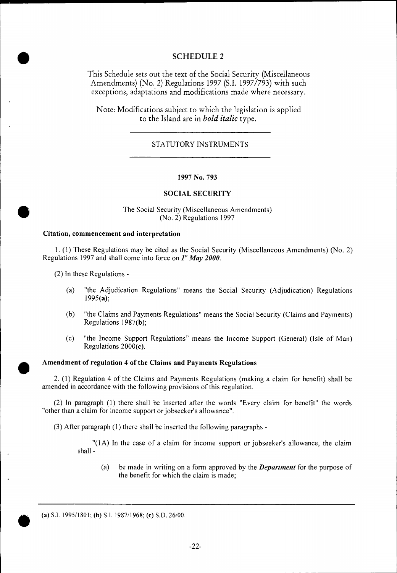#### **SCHEDULE 2**

This Schedule sets out the text of the Social Security (Miscellaneous Amendments) (No. 2) Regulations 1997 (S.I. 1997/793) with such exceptions, adaptations and modifications made where necessary.

#### Note: Modifications subject to which the legislation is applied to the Island are in *bold italic* type.

#### STATUTORY INSTRUMENTS

#### **1997 No. 793**

#### **SOCIAL SECURITY**

The Social Security (Miscellaneous Amendments) (No. 2) Regulations 1997

#### **Citation, commencement and interpretation**

1. (1) These Regulations may be cited as the Social Security (Miscellaneous Amendments) (No. 2) Regulations 1997 and shall come into force on *1" May 2000.* 

(2) In these Regulations -

•

 $\bullet$ 

- (a) "the Adjudication Regulations" means the Social Security (Adjudication) Regulations 1995(a);
- (b) "the Claims and Payments Regulations" means the Social Security (Claims and Payments) Regulations 1987(b);
- (c) "the Income Support Regulations" means the Income Support (General) (Isle of Man) Regulations 2000(c).

#### **Amendment of regulation 4 of the Claims and Payments Regulations**

2. (1 ) Regulation 4 of the Claims and Payments Regulations (making a claim for benefit) shall be amended in accordance with the following provisions of this regulation.

(2) In paragraph (1) there shall be inserted after the words "Every claim for benefit" the words "other than a claim for income support or jobseeker's allowance".

(3) After paragraph (1) there shall be inserted the following paragraphs -

"(1A) In the case of a claim for income support or jobseeker's allowance, the claim shall -

(a) be made in writing on a form approved by the *Department* for the purpose of the benefit for which the claim is made;

(a) S.I. 1995/1801; (b) S.I. 1987/1968; (c) S.D. 26/00.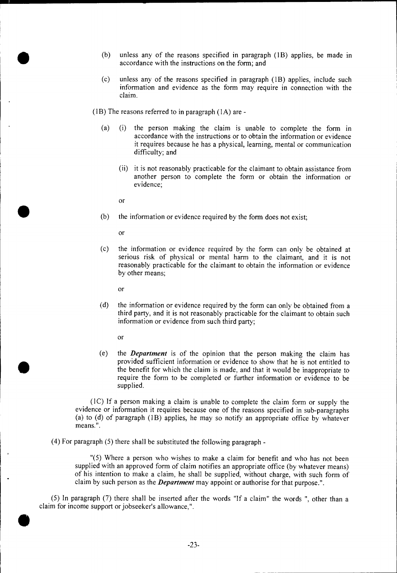- (b) unless any of the reasons specified in paragraph (1B) applies, be made in accordance with the instructions on the form; and
- (c) unless any of the reasons specified in paragraph (1B) applies, include such information and evidence as the form may require in connection with the claim.
- (1B) The reasons referred to in paragraph (1A) are
	- (a) (i) the person making the claim is unable to complete the form in accordance with the instructions or to obtain the information or evidence it requires because he has a physical, learning, mental or communication difficulty; and
		- (ii) it is not reasonably practicable for the claimant to obtain assistance from another person to complete the form or obtain the information or evidence;

or

•

•

•

(b) the information or evidence required by the form does not exist;

or

(c) the information or evidence required by the form can only be obtained at serious risk of physical or mental harm to the claimant, and it is not reasonably practicable for the claimant to obtain the information or evidence by other means;

or

- (d) the information or evidence required by the form can only be obtained from a third party, and it is not reasonably practicable for the claimant to obtain such information or evidence from such third party;
	- or
- (e) the *Department* is of the opinion that the person making the claim has provided sufficient information or evidence to show that he is not entitled to the benefit for which the claim is made, and that it would be inappropriate to require the form to be completed or further information or evidence to be supplied.

(1C) If a person making a claim is unable to complete the claim form or supply the evidence or information it requires because one of the reasons specified in sub-paragraphs (a) to (d) of paragraph (1B) applies, he may so notify an appropriate office by whatever means.".

(4) For paragraph (5) there shall be substituted the following paragraph -

"(5) Where a person who wishes to make a claim for benefit and who has not been supplied with an approved form of claim notifies an appropriate office (by whatever means) of his intention to make a claim, he shall be supplied, without charge, with such form of claim by such person as the *Department* may appoint or authorise for that purpose.".

(5) In paragraph (7) there shall be inserted after the words "If a claim" the words ", other than a claim for income support or jobseeker's allowance,".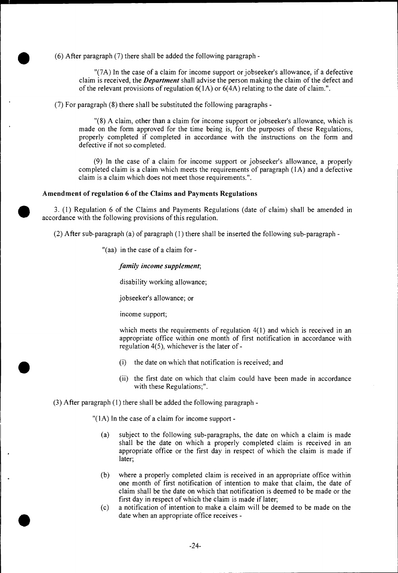(6) After paragraph (7) there shall be added the following paragraph -

"(7A) In the case of a claim for income support or jobseeker's allowance, if a defective claim is received, the *Department* shall advise the person making the claim of the defect and of the relevant provisions of regulation  $6(1A)$  or  $6(4A)$  relating to the date of claim.".

(7) For paragraph (8) there shall be substituted the following paragraphs -

"(8) A claim, other than a claim for income support or jobseeker's allowance, which is made on the form approved for the time being is, for the purposes of these Regulations, properly completed if completed in accordance with the instructions on the form and defective if not so completed.

(9) In the case of a claim for income support or jobseeker's allowance, a properly completed claim is a claim which meets the requirements of paragraph (IA) and a defective claim is a claim which does not meet those requirements.".

#### **Amendment of regulation 6 of the Claims and Payments Regulations**

3. (1) Regulation 6 of the Claims and Payments Regulations (date of claim) shall be amended in accordance with the following provisions of this regulation.

(2) After sub-paragraph (a) of paragraph (I) there shall be inserted the following sub-paragraph

"(aa) in the case of a claim for *-* 

*family income supplement;* 

disability working allowance;

jobseeker's allowance; or

income support;

which meets the requirements of regulation 4(1) and which is received in an appropriate office within one month of first notification in accordance with regulation 4(5), whichever is the later of -

- (i) the date on which that notification is received; and
- (ii) the first date on which that claim could have been made in accordance with these Regulations;".

(3) After paragraph (1) there shall be added the following paragraph -

"(1A) In the case of a claim for income support -

- (a) subject to the following sub-paragraphs, the date on which a claim is made shall be the date on which a properly completed claim is received in an appropriate office or the first day in respect of which the claim is made if later;
- (b) where a properly completed claim is received in an appropriate office within one month of first notification of intention to make that claim, the date of claim shall be the date on which that notification is deemed to be made or the first day in respect of which the claim is made if later;
- (c) a notification of intention to make a claim will be deemed to be made on the date when an appropriate office receives -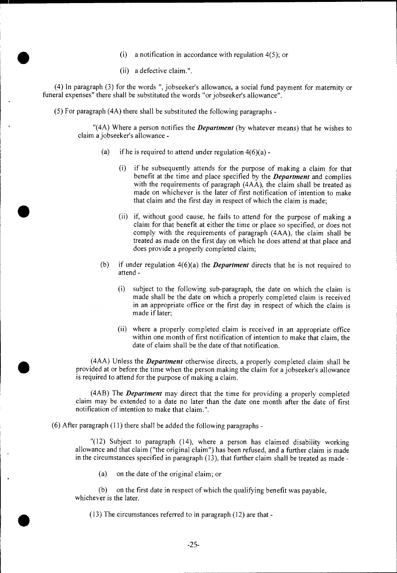- (i) a notification in accordance with regulation 4(5); or
- (ii) a defective claim.".

(4) In paragraph (3) for the words ", jobseeker's allowance, a social fund payment for maternity or funeral expenses" there shall be substituted the words "or jobseeker's allowance".

(5) For paragraph (4A) there shall be substituted the following paragraphs -

"(4A) Where a person notifies the *Department* (by whatever means) that he wishes to claim a jobseeker's allowance -

- (a) if he is required to attend under regulation  $4(6)(a)$ .
	- (i) if he subsequently attends for the purpose of making a claim for that benefit at the time and place specified by the *Department* and complies with the requirements of paragraph (4AA), the claim shall be treated as made on whichever is the later of first notification of intention to make that claim and the first day in respect of which the claim is made;
	- (ii) if, without good cause, he fails to attend for the purpose of making a claim for that benefit at either the time or place so specified, or does not comply with the requirements of paragraph (4AA), the claim shall be treated as made on the first day on which he does attend at that place and does provide a properly completed claim;
- (b) if under regulation 4(6)(a) the *Department* directs that he is not required to attend -
	- (i) subject to the following sub-paragraph, the date on which the claim is made shall be the date on which a properly completed claim is received in an appropriate office or the first day in respect of which the claim is made if later;
	- (ii) where a properly completed claim is received in an appropriate office within one month of first notification of intention to make that claim, the date of claim shall be the date of that notification.

(4AA) Unless the *Department* otherwise directs, a properly completed claim shall be provided at or before the time when the person making the claim for a jobseeker's allowance is required to attend for the purpose of making a claim.

(4AB) The *Department* may direct that the time for providing a properly completed claim may be extended to a date no later than the date one month after the date of first notification of intention to make that claim.".

(6) After paragraph (11) there shall be added the following paragraphs -

"(12) Subject to paragraph (14), where a person has claimed disability working allowance and that claim ("the original claim") has been refused, and a further claim is made in the circumstances specified in paragraph (13), that further claim shall be treated as made -

(a) on the date of the original claim; or

(b) on the first date in respect of which the qualifying benefit was payable, whichever is the later.

(13) The circumstances referred to in paragraph (12) are that -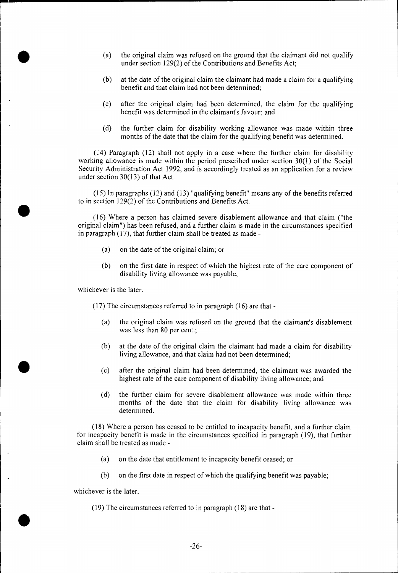- (a) the original claim was refused on the ground that the claimant did not qualify under section 129(2) of the Contributions and Benefits Act;
- (b) at the date of the original claim the claimant had made a claim for a qualifying benefit and that claim had not been determined;
- (c) after the original claim had been determined, the claim for the qualifying benefit was determined in the claimant's favour; and
- (d) the further claim for disability working allowance was made within three months of the date that the claim for the qualifying benefit was determined.

(14) Paragraph (12) shall not apply in a case where the further claim for disability working allowance is made within the period prescribed under section 30(1) of the Social Security Administration Act 1992, and is accordingly treated as an application for a review under section 30(13) of that Act.

(15) In paragraphs (12) and (13) "qualifying benefit" means any of the benefits referred to in section 129(2) of the Contributions and Benefits Act.

(16) Where a person has claimed severe disablement allowance and that claim ("the original claim") has been refused, and a further claim is made in the circumstances specified in paragraph (17), that further claim shall be treated as made -

- (a) on the date of the original claim; or
- (b) on the first date in respect of which the highest rate of the care component of disability living allowance was payable,

whichever is the later.

(17) The circumstances referred to in paragraph (16) are that -

- (a) the original claim was refused on the ground that the claimant's disablement was less than 80 per cent.;
- (b) at the date of the original claim the claimant had made a claim for disability living allowance, and that claim had not been determined;
- (c) after the original claim had been determined, the claimant was awarded the highest rate of the care component of disability living allowance; and
- (d) the further claim for severe disablement allowance was made within three months of the date that the claim for disability living allowance was determined.

(18) Where a person has ceased to be entitled to incapacity benefit, and a further claim for incapacity benefit is made in the circumstances specified in paragraph (19), that further claim shall be treated as made -

- (a) on the date that entitlement to incapacity benefit ceased; or
- (b) on the first date in respect of which the qualifying benefit was payable;

whichever is the later.

(19) The circumstances referred to in paragraph (18) are that -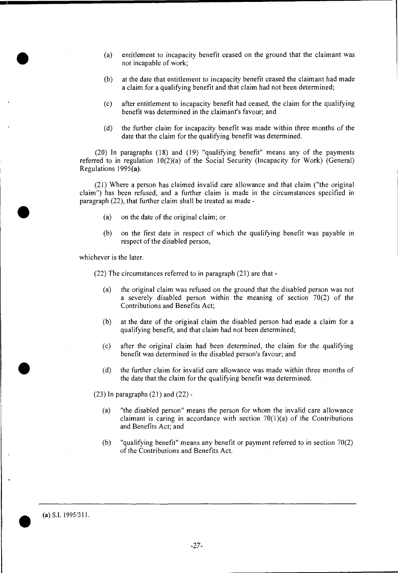- (a) entitlement to incapacity benefit ceased on the ground that the claimant was not incapable of work;
- (b) at the date that entitlement to incapacity benefit ceased the claimant had made a claim for a qualifying benefit and that claim had not been determined;
- (c) after entitlement to incapacity benefit had ceased, the claim for the qualifying benefit was determined in the claimant's favour; and
- (d) the further claim for incapacity benefit was made within three months of the date that the claim for the qualifying benefit was determined.

(20) In paragraphs (18) and (19) "qualifying benefit" means any of the payments referred to in regulation  $10(2)(a)$  of the Social Security (Incapacity for Work) (General) Regulations 1995(a).

(21) Where a person has claimed invalid care allowance and that claim ("the original claim") has been refused, and a further claim is made in the circumstances specified in paragraph (22), that further claim shall be treated as made -

- (a) on the date of the original claim; or
- (b) on the first date in respect of which the qualifying benefit was payable in respect of the disabled person,

whichever is the later.

(22) The circumstances referred to in paragraph (21) are that -

- (a) the original claim was refused on the ground that the disabled person was not a severely disabled person within the meaning of section 70(2) of the Contributions and Benefits Act;
- (b) at the date of the original claim the disabled person had made a claim for a qualifying benefit, and that claim had not been determined;
- (c) after the original claim had been determined, the claim for the qualifying benefit was determined in the disabled person's favour; and
- (d) the further claim for invalid care allowance was made within three months of the date that the claim for the qualifying benefit was determined.

 $(23)$  In paragraphs  $(21)$  and  $(22)$  -

- (a) "the disabled person" means the person for whom the invalid care allowance claimant is caring in accordance with section  $70(1)(a)$  of the Contributions and Benefits Act; and
- (b) "qualifying benefit" means any benefit or payment referred to in section 70(2) of the Contributions and Benefits Act.

(a) S.I. 1995/311.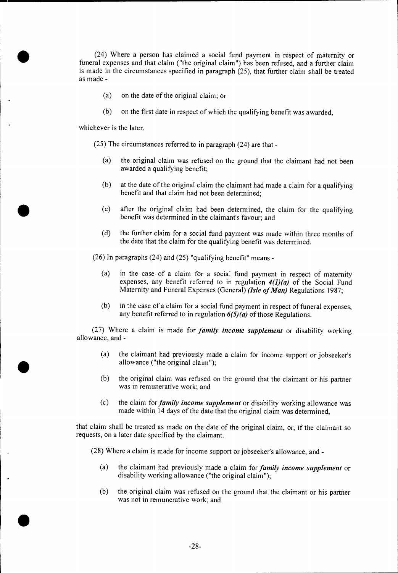(24) Where a person has claimed a social fund payment in respect of maternity or funeral expenses and that claim ("the original claim") has been refused, and a further claim is made in the circumstances specified in paragraph (25), that further claim shall be treated as made -

- (a) on the date of the original claim; or
- (b) on the first date in respect of which the qualifying benefit was awarded,

whichever is the later.

(25) The circumstances referred to in paragraph (24) are that -

- (a) the original claim was refused on the ground that the claimant had not been awarded a qualifying benefit;
- (b) at the date of the original claim the claimant had made a claim for a qualifying
- (c) after the original claim had been determined, the claim for the qualifying benefit was determined in the claimant's favour; and
- (d) the further claim for a social fund payment was made within three months of the date that the claim for the qualifying benefit was determined.

(26) In paragraphs (24) and (25) "qualifying benefit" means -

- (a) in the case of a claim for a social fund payment in respect of maternity expenses, any benefit referred to in regulation *4(1)(a)* of the Social Fund Maternity and Funeral Expenses (General) *(Isle of Man)* Regulations 1987;
- (b) in the case of a claim for a social fund payment in respect of funeral expenses, any benefit referred to in regulation  $6(5)(a)$  of those Regulations.

(27) Where a claim is made for *family income supplement* or disability working allowance, and -

- (a) the claimant had previously made a claim for income support or jobseeker's allowance ("the original claim");
- (b) the original claim was refused on the ground that the claimant or his partner was in remunerative work; and
- (c) the claim for *family income supplement* or disability working allowance was made within 14 days of the date that the original claim was determined,

that claim shall be treated as made on the date of the original claim, or, if the claimant so requests, on a later date specified by the claimant.

(28) Where a claim is made for income support or jobseeker's allowance, and -

- (a) the claimant had previously made a claim for *family income supplement* or disability working allowance ("the original claim");
- (b) the original claim was refused on the ground that the claimant or his partner was not in remunerative work; and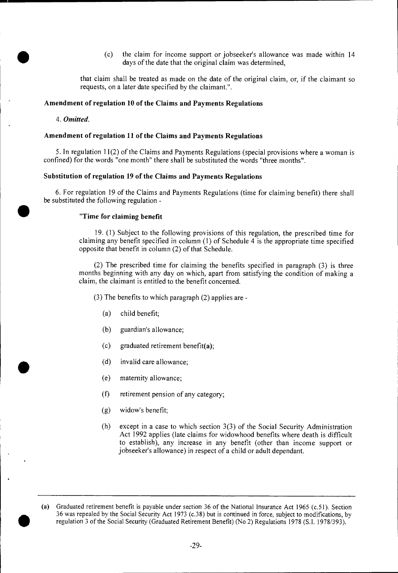(c) the claim for income support or jobseeker's allowance was made within 14 days of the date that the original claim was determined,

that claim shall be treated as made on the date of the original claim, or, if the claimant so requests, on a later date specified by the claimant.".

#### **Amendment of regulation 10 of the Claims and Payments Regulations**

*4. Omitted.* 

#### **Amendment of regulation 11 of the Claims and Payments Regulations**

5. In regulation 11(2) of the Claims and Payments Regulations (special provisions where a woman is confined) for the words "one month" there shall be substituted the words "three months".

#### **Substitution of regulation 19 of the Claims and Payments Regulations**

6. For regulation 19 of the Claims and Payments Regulations (time for claiming benefit) there shall be substituted the following regulation **-** 

#### **"Time for claiming benefit**

19. (1) Subject to the following provisions of this regulation, the prescribed time for claiming any benefit specified in column (1) of Schedule 4 is the appropriate time specified opposite that benefit in column (2) of that Schedule.

(2) The prescribed time for claiming the benefits specified in paragraph (3) is three months beginning with any day on which, apart from satisfying the condition of making a claim, the claimant is entitled to the benefit concerned.

(3) The benefits to which paragraph (2) applies are -

- (a) child benefit;
- (b) guardian's allowance;
- (c) graduated retirement benefit(a);
- (d) invalid care allowance;
- (e) maternity allowance;
- (f) retirement pension of any category;
- (g) widow's benefit;
- (h) except in a case to which section 3(3) of the Social Security Administration Act 1992 applies (late claims for widowhood benefits where death is difficult to establish), any increase in any benefit (other than income support or jobseeker's allowance) in respect of a child or adult dependant.

(a) Graduated retirement benefit is payable under section 36 of the National Insurance Act 1965 (c.51). Section 36 was repealed by the Social Security Act 1973 (c.38) but is continued in force, subject to modifications, by regulation 3 of the Social Security (Graduated Retirement Benefit) (No 2) Regulations 1978 (S.I. 1978/393).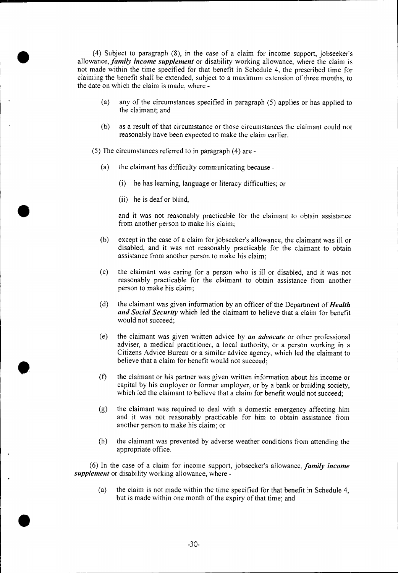(4) Subject to paragraph (8), in the case of a claim for income support, jobseeker's allowance, *family income supplement* or disability working allowance, where the claim is not made within the time specified for that benefit in Schedule 4, the prescribed time for claiming the benefit shall be extended, subject to a maximum extension of three months, to the date on which the claim is made, where -

- (a) any of the circumstances specified in paragraph (5) applies or has applied to the claimant; and
- (b) as a result of that circumstance or those circumstances the claimant could not reasonably have been expected to make the claim earlier.

(5) The circumstances referred to in paragraph (4) are -

- (a) the claimant has difficulty communicating because
	- (i) he has learning, language or literacy difficulties; or
	- (ii) he is deaf or blind,

and it was not reasonably practicable for the claimant to obtain assistance from another person to make his claim;

- (b) except in the case of a claim for jobseeker's allowance, the claimant was ill or disabled, and it was not reasonably practicable for the claimant to obtain assistance from another person to make his claim;
- (c) the claimant was caring for a person who is ill or disabled, and it was not reasonably practicable for the claimant to obtain assistance from another person to make his claim;
- (d) the claimant was given information by an officer of the Department of *Health and Social Security* which led the claimant to believe that a claim for benefit would not succeed;
- (e) the claimant was given written advice by *an advocate* or other professional adviser, a medical practitioner, a local authority, or a person working in a Citizens Advice Bureau or a similar advice agency, which led the claimant to believe that a claim for benefit would not succeed;
- $(0)$  the claimant or his partner was given written information about his income or capital by his employer or former employer, or by a bank or building society, which led the claimant to believe that a claim for benefit would not succeed;
- (g) the claimant was required to deal with a domestic emergency affecting him and it was not reasonably practicable for him to obtain assistance from another person to make his claim; or
- (h) the claimant was prevented by adverse weather conditions from attending the appropriate office.

(6) In the case of a claim for income support, jobseeker's allowance, *family income supplement* or disability working allowance, where -

(a) the claim is not made within the time specified for that benefit in Schedule 4, but is made within one month of the expiry of that time; and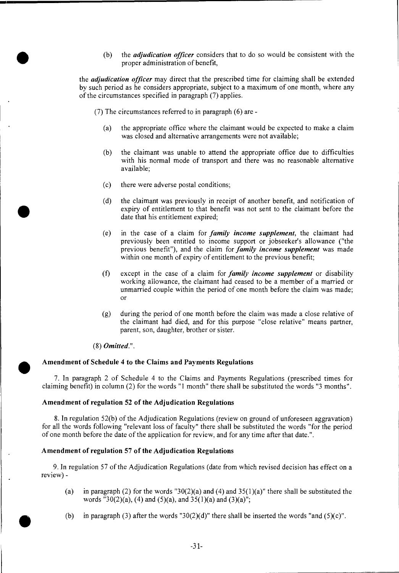• (b) the *adjudication officer* considers that to do so would be consistent with the proper administration of benefit,

the *adjudication officer* may direct that the prescribed time for claiming shall be extended by such period as he considers appropriate, subject to a maximum of one month, where any of the circumstances specified in paragraph (7) applies.

(7) The circumstances referred to in paragraph (6) are -

- (a) the appropriate office where the claimant would be expected to make a claim was closed and alternative arrangements were not available;
- (b) the claimant was unable to attend the appropriate office due to difficulties with his normal mode of transport and there was no reasonable alternative available;
- (c) there were adverse postal conditions;
- (d) the claimant was previously in receipt of another benefit, and notification of expiry of entitlement to that benefit was not sent to the claimant before the date that his entitlement expired;
- (e) in the case of a claim for *family income supplement,* the claimant had previously been entitled to income support or jobseeker's allowance ("the previous benefit"), and the claim for *family income supplement* was made within one month of expiry of entitlement to the previous benefit;
- (f) except in the case of a claim for *family income supplement* or disability working allowance, the claimant had ceased to be a member of a married or unmarried couple within the period of one month before the claim was made; or
- (g) during the period of one month before the claim was made a close relative of the claimant had died, and for this purpose "close relative" means partner, parent, son, daughter, brother or sister.
- (8) *Omitted.".*

#### **Amendment of Schedule 4 to the Claims and Payments Regulations**

7. In paragraph 2 of Schedule 4 to the Claims and Payments Regulations (prescribed times for claiming benefit) in column (2) for the words "1 month" there shall be substituted the words "3 months".

#### **Amendment of regulation 52 of the Adjudication Regulations**

8. In regulation 52(b) of the Adjudication Regulations (review on ground of unforeseen aggravation) for all the words following "relevant loss of faculty" there shall be substituted the words "for the period of one month before the date of the application for review, and for any time after that date.".

#### **Amendment of regulation 57 of the Adjudication Regulations**

9. In regulation 57 of the Adjudication Regulations (date from which revised decision has effect on a review) -

- (a) in paragraph (2) for the words "30(2)(a) and (4) and 35(1)(a)" there shall be substituted the words "30(2)(a), (4) and (5)(a), and 35(1)(a) and (3)(a)";
- (b) in paragraph (3) after the words "30(2)(d)" there shall be inserted the words "and (5)(c)".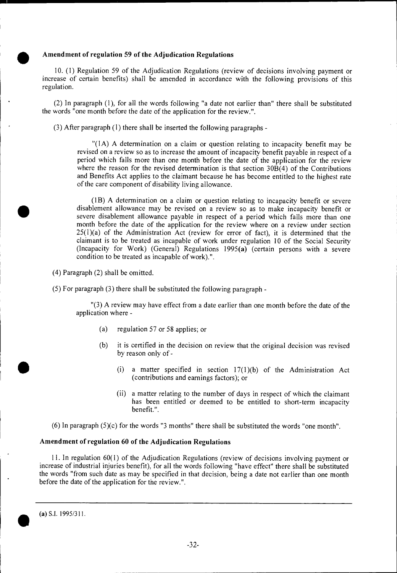#### **1111 Amendment of regulation 59 of the Adjudication Regulations**

10. (1) Regulation 59 of the Adjudication Regulations (review of decisions involving payment or increase of certain benefits) shall be amended in accordance with the following provisions of this regulation.

(2) In paragraph (1), for all the words following "a date not earlier than" there shall be substituted the words "one month before the date of the application for the review.".

(3) After paragraph (1) there shall be inserted the following paragraphs -

"(IA) A determination on a claim or question relating to incapacity benefit may be revised on a review so as to increase the amount of incapacity benefit payable in respect of a period which falls more than one month before the date of the application for the review where the reason for the revised determination is that section  $30B(4)$  of the Contributions and Benefits Act applies to the claimant because he has become entitled to the highest rate of the care component of disability living allowance.

(1B) A determination on a claim or question relating to incapacity benefit or severe disablement allowance may be revised on a review so as to make incapacity benefit or severe disablement allowance payable in respect of a period which falls more than one month before the date of the application for the review where on a review under section  $25(1)(a)$  of the Administration Act (review for error of fact), it is determined that the claimant is to be treated as incapable of work under regulation 10 of the Social Security (Incapacity for Work) (General) Regulations 1995(a) (certain persons with a severe condition to be treated as incapable of work).".

(4) Paragraph (2) shall be omitted.

(5) For paragraph (3) there shall be substituted the following paragraph -

"(3) A review may have effect from a date earlier than one month before the date of the application where -

- (a) regulation 57 or 58 applies; or
- (b) it is certified in the decision on review that the original decision was revised by reason only of -
	- (i) a matter specified in section  $17(1)(b)$  of the Administration Act (contributions and earnings factors); or
	- (ii) a matter relating to the number of days in respect of which the claimant has been entitled or deemed to be entitled to short-term incapacity benefit.".

(6) In paragraph (5)(c) for the words "3 months" there shall be substituted the words "one month".

#### **Amendment of regulation 60 of the Adjudication Regulations**

11. In regulation 60(1) of the Adjudication Regulations (review of decisions involving payment or increase of industrial injuries benefit), for all the words following "have effect" there shall be substituted the words "from such date as may be specified in that decision, being a date not earlier than one month before the date of the application for the review.".

*4111* **(a)** S.I. 1995/311.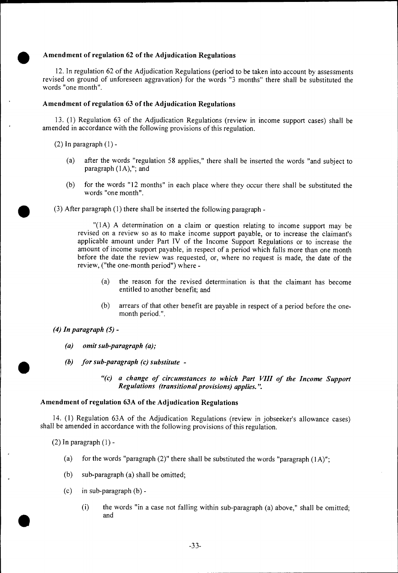#### **• Amendment of regulation 62 of the Adjudication Regulations**

12. In regulation 62 of the Adjudication Regulations (period to be taken into account by assessments revised on ground of unforeseen aggravation) for the words "3 months" there shall be substituted the words "one month".

#### **Amendment of regulation 63 of the Adjudication Regulations**

13. (1 ) Regulation 63 of the Adjudication Regulations (review in income support cases) shall be amended in accordance with the following provisions of this regulation.

(2) In paragraph (1) -

- (a) after the words "regulation 58 applies," there shall be inserted the words "and subject to paragraph (IA),"; and
- (b) for the words "12 months" in each place where they occur there shall be substituted the words "one month".
- (3) After paragraph (1) there shall be inserted the following paragraph -

"(1A) A determination on a claim or question relating to income support may be revised on a review so as to make income support payable, or to increase the claimant's applicable amount under Part IV of the Income Support Regulations or to increase the amount of income support payable, in respect of a period which falls more than one month before the date the review was requested, or, where no request is made, the date of the review, ("the one-month period") where -

- (a) the reason for the revised determination is that the claimant has become entitled to another benefit; and
- (b) arrears of that other benefit are payable in respect of a period before the onemonth period.".

**(4)** *In paragraph (5) -* 

- *(a) omit sub paragraph (a);*
- *(b) for sub paragraph (c) substitute* 
	- *"(c) a change of circumstances to which Part VIII of the Income Support Regulations (transitional provisions) applies.".*

#### **Amendment of regulation 63A of the Adjudication Regulations**

14. (1) Regulation 63A of the Adjudication Regulations (review in jobseeker's allowance cases) shall be amended in accordance with the following provisions of this regulation.

(2) In paragraph (I) -

- (a) for the words "paragraph  $(2)$ " there shall be substituted the words "paragraph  $(1A)$ ";
- (b) sub-paragraph (a) shall be omitted;
- (c) in sub-paragraph (b)
	- (i) the words "in a case not falling within sub-paragraph (a) above," shall be omitted; and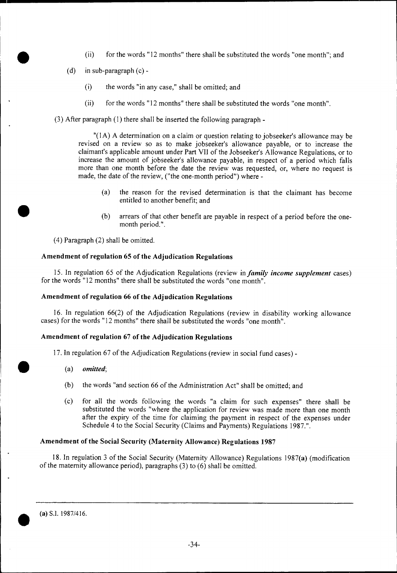- (ii) for the words "12 months" there shall be substituted the words "one month"; and
- (d) in sub-paragraph (c)
	- (i) the words "in any case," shall be omitted; and
	- (ii) for the words "12 months" there shall be substituted the words "one month".

(3) After paragraph (1) there shall be inserted the following paragraph -

"(1A) A determination on a claim or question relating to jobseeker's allowance may be revised on a review so as to make jobseeker's allowance payable, or to increase the claimant's applicable amount under Part VII of the Jobseeker's Allowance Regulations, or to increase the amount of jobseeker's allowance payable, in respect of a period which falls more than one month before the date the review was requested, or, where no request is made, the date of the review, ("the one-month period") where -

- (a) the reason for the revised determination is that the claimant has become entitled to another benefit; and
- (b) arrears of that other benefit are payable in respect of a period before the onemonth period.".

(4) Paragraph (2) shall be omitted.

#### **Amendment of regulation 65 of the Adjudication Regulations**

15. In regulation 65 of the Adjudication Regulations (review in *family income supplement* cases) for the words "12 months" there shall be substituted the words "one month".

#### **Amendment of regulation 66 of the Adjudication Regulations**

16. In regulation 66(2) of the Adjudication Regulations (review in disability working allowance cases) for the words "12 months" there shall be substituted the words "one month".

#### **Amendment of regulation 67 of the Adjudication Regulations**

- 17. In regulation 67 of the Adjudication Regulations (review in social fund cases)
	- *(a) omitted;*
	- (b) the words "and section 66 of the Administration Act" shall be omitted; and
	- (c) for all the words following the words "a claim for such expenses" there shall be substituted the words "where the application for review was made more than one month after the expiry of the time for claiming the payment in respect of the expenses under Schedule 4 to the Social Security (Claims and Payments) Regulations 1987.".

#### **Amendment of the Social Security (Maternity Allowance) Regulations 1987**

18. In regulation 3 of the Social Security (Maternity Allowance) Regulations 1987(a) (modification of the maternity allowance period), paragraphs (3) to (6) shall be omitted.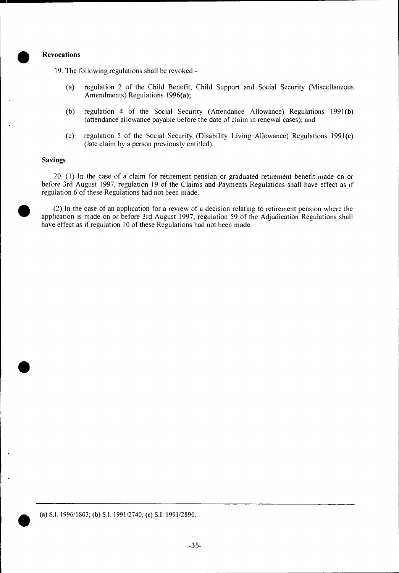#### • **Revocations**

- **19.** The following regulations shall be revoked
	- (a) regulation 2 of the Child Benefit, Child Support and Social Security (Miscellaneous Amendments) Regulations 1996(a);
	- (b) regulation 4 of the Social Security (Attendance Allowance) Regulations 1991(b) (attendance allowance payable before the date of claim in renewal cases); and
	- (c) regulation 5 of the Social Security (Disability Living Allowance) Regulations 1991(c) (late claim by a person previously entitled).

#### **Savings**

20. (1) In the case of a claim for retirement pension or graduated retirement benefit made on or before 3rd August 1997, regulation 19 of the Claims and Payments Regulations shall have effect as if regulation 6 of these Regulations had not been made.

• (2) In the case of an application for a review of a decision relating to retirement pension where the application is made on or before 3rd August 1997, regulation 59 of the Adjudication Regulations shall have effect as if regulation 10 of these Regulations had not been made.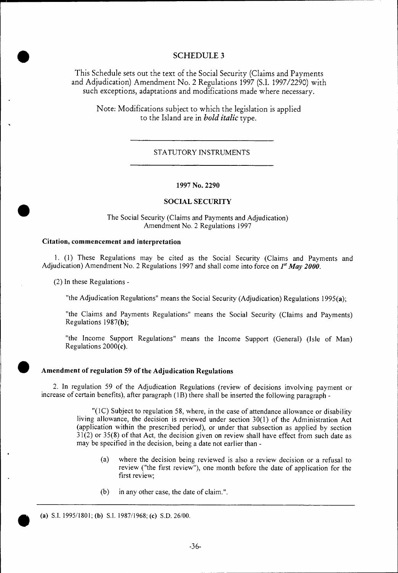#### SCHEDULE 3

This Schedule sets out the text of the Social Security (Claims and Payments and Adjudication) Amendment No. 2 Regulations 1997 (S.I. 1997/2290) with such exceptions, adaptations and modifications made where necessary.

Note: Modifications subject to which the legislation is applied to the Island are in *bold italic* type.

#### STATUTORY INSTRUMENTS

#### **1997 No. 2290**

#### **SOCIAL SECURITY**

The Social Security (Claims and Payments and Adjudication) Amendment No. 2 Regulations 1997

#### **Citation, commencement and interpretation**

1. (1) These Regulations may be cited as the Social Security (Claims and Payments and Adjudication) Amendment No. 2 Regulations 1997 and shall come into force on  $I<sup>st</sup> May 2000$ .

(2) In these Regulations -

•

•

"the Adjudication Regulations" means the Social Security (Adjudication) Regulations 1995(a);

"the Claims and Payments Regulations" means the Social Security (Claims and Payments) Regulations 1987(b);

"the Income Support Regulations" means the Income Support (General) (Isle of Man) Regulations  $2000(c)$ .

#### **Amendment of regulation 59 of the Adjudication Regulations**

2. In regulation 59 of the Adjudication Regulations (review of decisions involving payment or increase of certain benefits), after paragraph  $(1B)$  there shall be inserted the following paragraph -

> "(1C) Subject to regulation 58, where, in the case of attendance allowance or disability living allowance, the decision is reviewed under section 30(1) of the Administration Act (application within the prescribed period), or under that subsection as applied by section 31(2) or 35(8) of that Act, the decision given on review shall have effect from such date as may be specified in the decision, being a date not earlier than -

- (a) where the decision being reviewed is also a review decision or a refusal to review ("the first review"), one month before the date of application for the first review;
- (b) in any other case, the date of claim.".

*• (a)* S.I. 1995/1801; (b) S.I. 1987/1968; (c) S.D. 26/00.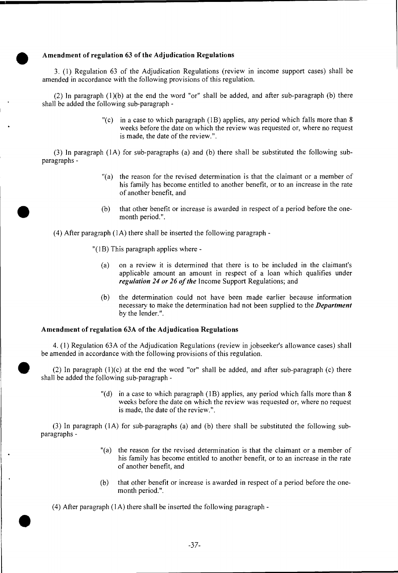#### **Amendment of regulation 63 of the Adjudication Regulations**

3. (1) Regulation 63 of the Adjudication Regulations (review in income support cases) shall be amended in accordance with the following provisions of this regulation.

(2) In paragraph  $(1)(b)$  at the end the word "or" shall be added, and after sub-paragraph (b) there shall be added the following sub-paragraph -

> "(c) in a case to which paragraph (1B) applies, any period which falls more than 8 weeks before the date on which the review was requested or, where no request is made, the date of the review.".

(3) In paragraph (1A) for sub-paragraphs (a) and (b) there shall be substituted the following subparagraphs -

- "(a) the reason for the revised determination is that the claimant or a member of his family has become entitled to another benefit, or to an increase in the rate of another benefit, and
- $(b)$  that other benefit or increase is awarded in respect of a period before the onemonth period.".

(4) After paragraph (1A) there shall be inserted the following paragraph -

"(1B) This paragraph applies where -

- (a) on a review it is determined that there is to be included in the claimant's applicable amount an amount in respect of a loan which qualifies under *regulation 24 or 26 of the* Income Support Regulations; and
- (b) the determination could not have been made earlier because information necessary to make the determination had not been supplied to the *Department*  by the lender.".

#### **Amendment of regulation 63A of the Adjudication Regulations**

4. (1) Regulation 63A of the Adjudication Regulations (review in jobseeker's allowance cases) shall be amended in accordance with the following provisions of this regulation.

(2) In paragraph  $(1)(c)$  at the end the word "or" shall be added, and after sub-paragraph  $(c)$  there shall be added the following sub-paragraph -

> "(d) in a case to which paragraph (IB) applies, any period which falls more than 8 weeks before the date on which the review was requested or, where no request is made, the date of the review.".

(3) In paragraph (1A) for sub-paragraphs (a) and (b) there shall be substituted the following subparagraphs -

- "(a) the reason for the revised determination is that the claimant or a member of his family has become entitled to another benefit, or to an increase in the rate of another benefit, and
- (b) that other benefit or increase is awarded in respect of a period before the onemonth period.".

(4) After paragraph (IA) there shall be inserted the following paragraph -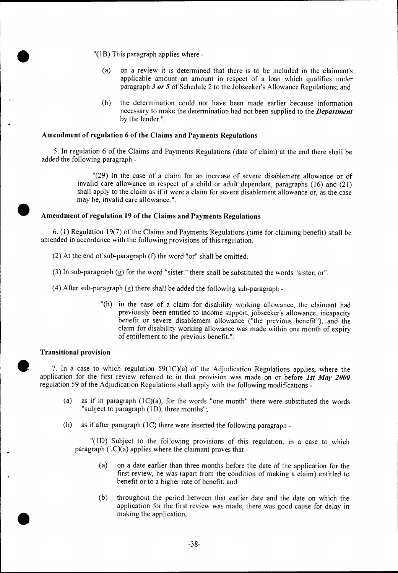**"(1B)** This paragraph applies where -

- (a) on a review it is determined that there is to be included in the claimant's applicable amount an amount in respect of a loan which qualifies under paragraph 3 *or 5* of Schedule 2 to the Jobseeker's Allowance Regulations; and
- (b) the determination could not have been made earlier because information necessary to make the determination had not been supplied to the *Department*  by the lender.".

#### **Amendment of regulation 6 of the Claims and Payments Regulations**

5. In regulation 6 of the Claims and Payments Regulations (date of claim) at the end there shall be added the following paragraph -

> "(29) In the case of a claim for an increase of severe disablement allowance or of invalid care allowance in respect of a child or adult dependant, paragraphs (16) and (21) shall apply to the claim as if it were a claim for severe disablement allowance or, as the case may be, invalid care allowance.".

#### **• Amendment of regulation 19 of the Claims and Payments Regulations**

6. (I) Regulation 19(7) of the Claims and Payments Regulations (time for claiming benefit) shall be amended in accordance with the following provisions of this regulation.

(2) At the end of sub-paragraph (f) the word "or" shall be omitted.

(3) In sub-paragraph (g) for the word "sister." there shall be substituted the words "sister; or".

(4) After sub-paragraph (g) there shall be added the following sub-paragraph -

"(h) in the case of a claim for disability working allowance, the claimant had previously been entitled to income support, jobseeker's allowance, incapacity benefit or severe disablement allowance ("the previous benefit"), and the claim for disability working allowance was made within one month of expiry of entitlement to the previous benefit.".

#### **Transitional provision**

7. In a case to which regulation  $59(1C)(a)$  of the Adjudication Regulations applies, where the application for the first review referred to in that provision was made on or before *1st May 2000*  regulation 59 of the Adjudication Regulations shall apply with the following modifications -

- (a) as if in paragraph (1C)(a), for the words "one month" there were substituted the words "subject to paragraph (1D), three months";
- (b) as if after paragraph (1C) there were inserted the following paragraph -

"(1D) Subject to the following provisions of this regulation, in a case to which paragraph  $(1C)(a)$  applies where the claimant proves that -

- (a) on a date earlier than three months before the date of the application for the first review, he was (apart from the condition of making a claim) entitled to benefit or to a higher rate of benefit; and
- (b) throughout the period between that earlier date and the date on which the application for the first review was made, there was good cause for delay in making the application,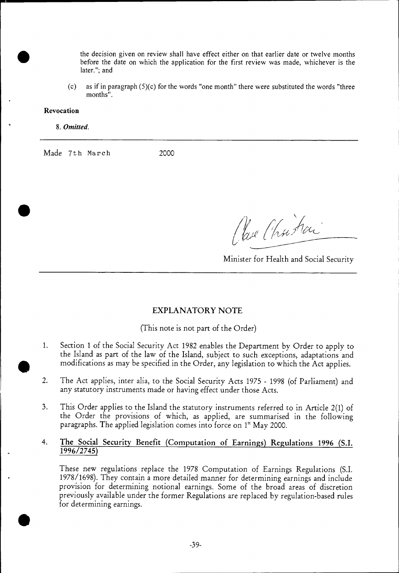the decision given on review shall have effect either on that earlier date or twelve months before the date on which the application for the first review was made, whichever is the later."; and

> (c) as if in paragraph (5)(c) for the words "one month" there were substituted the words "three months".

#### Revocation

•

•

8. Omitted.

Made 7th March 2000

Pare Christian

Minister for Health and Social Security

## EXPLANATORY NOTE

(This note is not part of the Order)

- 1. Section 1 of the Social Security Act 1982 enables the Department by Order to apply to the Island as part of the law of the Island, subject to such exceptions, adaptations and modifications as may be specified in the Order, any legislation to which the Act applies.
	- 2. The Act applies, inter alia, to the Social Security Acts 1975 1998 (of Parliament) and any statutory instruments made or having effect under those Acts.
	- 3. This Order applies to the Island the statutory instruments referred to in Article 2(1) of the Order the provisions of which, as applied, are summarised in the following paragraphs. The applied legislation comes into force on 1" May 2000.

#### 4. The Social Security Benefit (Computation of Earnings) Regulations 1996 (S.I. 1996/2745)

These new regulations replace the 1978 Computation of Earnings Regulations (S.I. 1978/1698). They contain a more detailed manner for determining earnings and include provision for determining notional earnings. Some of the broad areas of discretion previously available under the former Regulations are replaced by regulation-based rules for determining earnings.

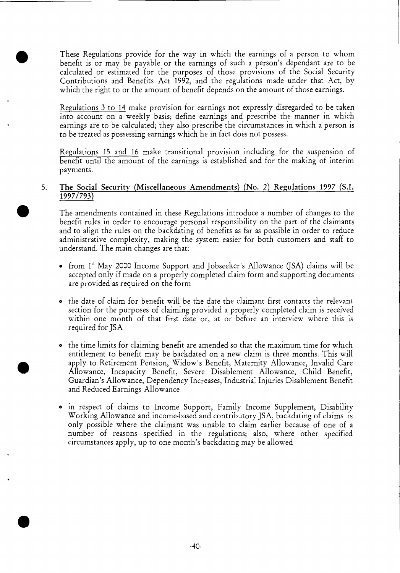These Regulations provide for the way in which the earnings of a person to whom benefit is or may be payable or the earnings of such a person's dependant are to be calculated or estimated for the purposes of those provisions of the Social Security Contributions and Benefits Act 1992, and the regulations made under that Act, by which the right to or the amount of benefit depends on the amount of those earnings.

•

•

•

Regulations 3 to 14 make provision for earnings not expressly disregarded to be taken into account on a weekly basis; define earnings and prescribe the manner in which earnings are to be calculated; they also prescribe the circumstances in which a person is to be treated as possessing earnings which he in fact does not possess.

Regulations 15 and 16 make transitional provision including for the suspension of benefit until the amount of the earnings is established and for the making of interim payments.

## • 5. The Social Security (Miscellaneous Amendments) (No. 2) Regulations 1997 (S.I. 1997/793)

The amendments contained in these Regulations introduce a number of changes to the benefit rules in order to encourage personal responsibility on the part of the claimants and to align the rules on the backdating of benefits as far as possible in order to reduce administrative complexity, making the system easier for both customers and staff to understand. The main changes are that:

- from 1st May 2000 Income Support and Jobseeker's Allowance (JSA) claims will be accepted only if made on a properly completed claim form and supporting documents are provided as required on the form
- the date of claim for benefit will be the date the claimant first contacts the relevant section for the purposes of claiming provided a properly completed claim is received within one month of that first date or, at or before an interview where this is required for JSA
- the time limits for claiming benefit are amended so that the maximum time for which entitlement to benefit may be backdated on a new claim is three months. This will apply to Retirement Pension, Widow's Benefit, Maternity Allowance, Invalid Care Allowance, Incapacity Benefit, Severe Disablement Allowance, Child Benefit, Guardian's Allowance, Dependency Increases, Industrial Injuries Disablement Benefit and Reduced Earnings Allowance
- o in respect of claims to Income Support, Family Income Supplement, Disability Working Allowance and income-based and contributory JSA, backdating of claims is only possible where the claimant was unable to claim earlier because of one of a number of reasons specified in the regulations; also, where other specified circumstances apply, up to one month's backdating may be allowed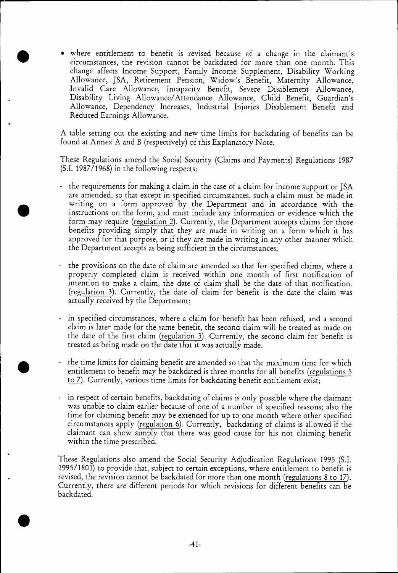• where entitlement to benefit is revised because of a change in the claimant's circumstances, the revision cannot be backdated for more than one month. This change affects Income Support, Family Income Supplement, Disability Working Allowance, JSA, Retirement Pension, Widow's Benefit, Maternity Allowance, Invalid Care Allowance, Incapacity Benefit, Severe Disablement Allowance, Disability Living Allowance/Attendance Allowance, Child Benefit, Guardian's Allowance, Dependency Increases, Industrial Injuries Disablement Benefit and Reduced Earnings Allowance.

A table setting out the existing and new time limits for backdating of benefits can be found at Annex A and B (respectively) of this Explanatory Note.

These Regulations amend the Social Security (Claims and Payments) Regulations 1987 (S.I. 1987/1968) in the following respects:

- the requirements for making a claim in the case of a claim for income support or JSA are amended, so that except in specified circumstances, such a claim must be made in writing on a form approved by the Department and in accordance with the instructions on the form, and must include any information or evidence which the form may require (regulation 2). Currently, the Department accepts claims for those benefits providing simply that they are made in writing on a form which it has approved for that purpose, or if they are made in writing in any other manner which the Department accepts as being sufficient in the circumstances;
- the provisions on the date of claim are amended so that for specified claims, where a properly completed claim is received within one month of first notification of intention to make a claim, the date of claim shall be the date of that notification. (regulation 3). Currently, the date of claim for benefit is the date the claim was actually received by the Department;
- in specified circumstances, where a claim for benefit has been refused, and a second claim is later made for the same benefit, the second claim will be treated as made on the date of the first claim (regulation 3). Currently, the second claim for benefit is treated as being made on the date that it was actually made.
- the time limits for claiming benefit are amended so that the maximum time for which entitlement to benefit may be backdated is three months for all benefits (regulations 5 to 7). Currently, various time limits for backdating benefit entitlement exist;
- in respect of certain benefits, backdating of claims is only possible where the claimant was unable to claim earlier because of one of a number of specified reasons; also the time for claiming benefit may be extended for up to one month where other specified circumstances apply (regulation 6). Currently, backdating of claims is allowed if the claimant can show simply that there was good cause for his not claiming benefit within the time prescribed.

These Regulations also amend the Social Security Adjudication Regulations 1995 (S.I. 1995/1801) to provide that, subject to certain exceptions, where entitlement to benefit is revised, the revision cannot be backdated for more than one month (regulations 8 to 17). Currently, there are different periods for which revisions for different benefits can be backdated.

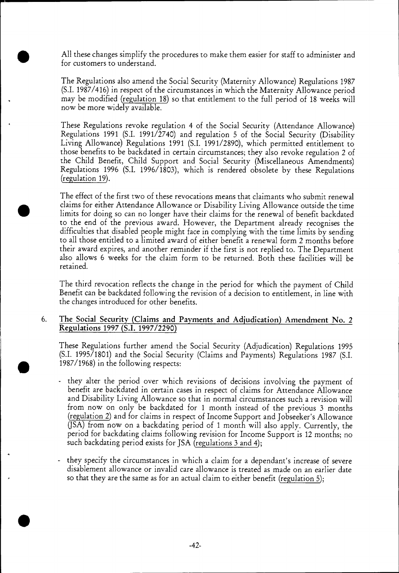All these changes simplify the procedures to make them easier for staff to administer and for customers to understand.

The Regulations also amend the Social Security (Maternity Allowance) Regulations 1987 (S.I. 1987/416) in respect of the circumstances in which the Maternity Allowance period may be modified (regulation 18) so that entitlement to the full period of 18 weeks will now be more widely available.

These Regulations revoke regulation 4 of the Social Security (Attendance Allowance) Regulations 1991 (S.I. 1991/2740) and regulation 5 of the Social Security (Disability Living Allowance) Regulations 1991 (S.I. 1991/2890), which permitted entitlement to those benefits to be backdated in certain circumstances; they also revoke regulation 2 of the Child Benefit, Child Support and Social Security (Miscellaneous Amendments) Regulations 1996 (S.I. 1996/1803), which is rendered obsolete by these Regulations (regulation 19).

The effect of the first two of these revocations means that claimants who submit renewal claims for either Attendance Allowance or Disability Living Allowance outside the time limits for doing so can no longer have their claims for the renewal of benefit backdated to the end of the previous award. However, the Department already recognises the difficulties that disabled people might face in complying with the time limits by sending to all those entitled to a limited award of either benefit a renewal form 2 months before their award expires, and another reminder if the first is not replied to. The Department also allows 6 weeks for the claim form to be returned. Both these facilities will be retained.

The third revocation reflects the change in the period for which the payment of Child Benefit can be backdated following the revision of a decision to entitlement, in line with the changes introduced for other benefits.

#### 6. **The Social Security (Claims and Payments and Adjudication) Amendment No. 2 Regulations 1997 (S.I. 1997/2290)**

 $\bullet$ 

 $\bullet$ 

•

•

These Regulations further amend the Social Security (Adjudication) Regulations 1995 (S.I. 1995/1801) and the Social Security (Claims and Payments) Regulations 1987 (S.I. 1987/1968) in the following respects:

- they alter the period over which revisions of decisions involving the payment of benefit are backdated in certain cases in respect of claims for Attendance Allowance and Disability Living Allowance so that in normal circumstances such a revision will from now on only be backdated for 1 month instead of the previous 3 months (regulation 2) and for claims in respect of Income Support and Jobseeker's Allowance GSA) from now on a backdating period of 1 month will also apply. Currently, the period for backdating claims following revision for Income Support is 12 months; no such backdating period exists for JSA (regulations 3 and 4);
- they specify the circumstances in which a claim for a dependant's increase of severe disablement allowance or invalid care allowance is treated as made on an earlier date so that they are the same as for an actual claim to either benefit (regulation 5);

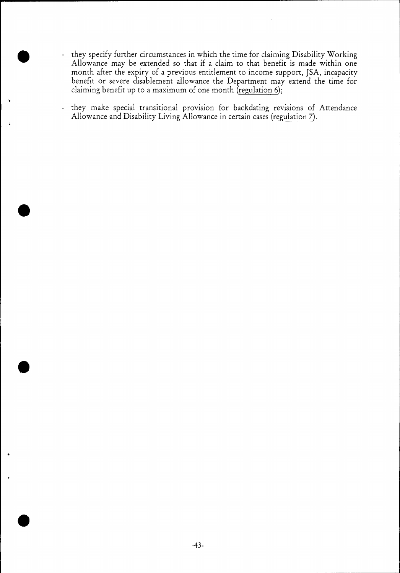- they specify further circumstances in which the time for claiming Disability Working Allowance may be extended so that if a claim to that benefit is made within one month after the expiry of a previous entitlement to income support, JSA, incapacity benefit or severe disablement allowance the Department may extend the time for claiming benefit up to a maximum of one month (regulation 6);
- they make special transitional provision for backdating revisions of Attendance Allowance and Disability Living Allowance in certain cases (regulation 7).